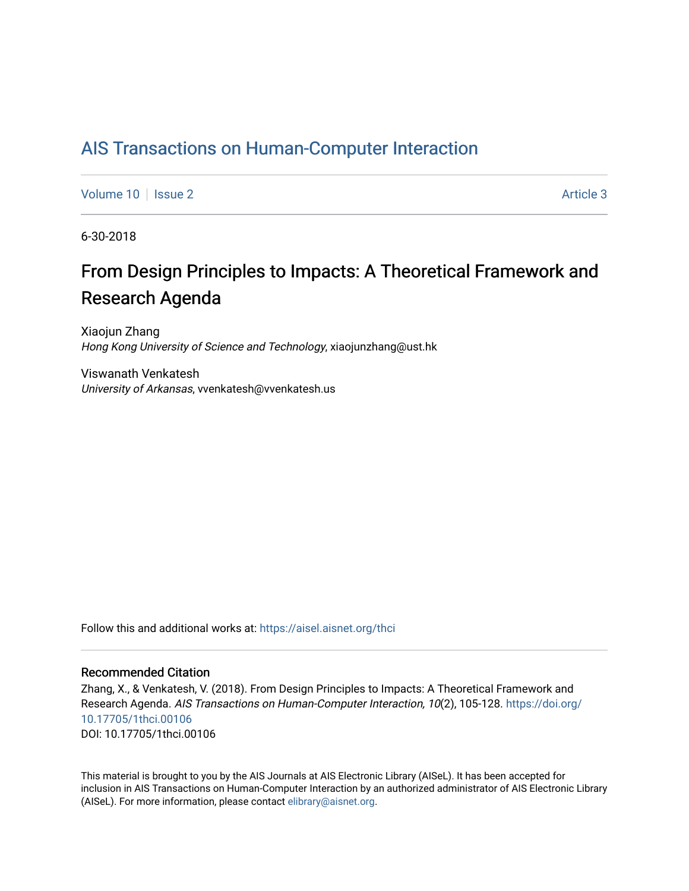# [AIS Transactions on Human-Computer Interaction](https://aisel.aisnet.org/thci)

[Volume 10](https://aisel.aisnet.org/thci/vol10) | [Issue 2](https://aisel.aisnet.org/thci/vol10/iss2) Article 3

6-30-2018

# From Design Principles to Impacts: A Theoretical Framework and Research Agenda

Xiaojun Zhang Hong Kong University of Science and Technology, xiaojunzhang@ust.hk

Viswanath Venkatesh University of Arkansas, vvenkatesh@vvenkatesh.us

Follow this and additional works at: [https://aisel.aisnet.org/thci](https://aisel.aisnet.org/thci?utm_source=aisel.aisnet.org%2Fthci%2Fvol10%2Fiss2%2F3&utm_medium=PDF&utm_campaign=PDFCoverPages) 

#### Recommended Citation

Zhang, X., & Venkatesh, V. (2018). From Design Principles to Impacts: A Theoretical Framework and Research Agenda. AIS Transactions on Human-Computer Interaction, 10(2), 105-128. [https://doi.org/](https://doi.org/10.17705/1thci.00106) [10.17705/1thci.00106](https://doi.org/10.17705/1thci.00106)  DOI: 10.17705/1thci.00106

This material is brought to you by the AIS Journals at AIS Electronic Library (AISeL). It has been accepted for inclusion in AIS Transactions on Human-Computer Interaction by an authorized administrator of AIS Electronic Library (AISeL). For more information, please contact [elibrary@aisnet.org](mailto:elibrary@aisnet.org%3E).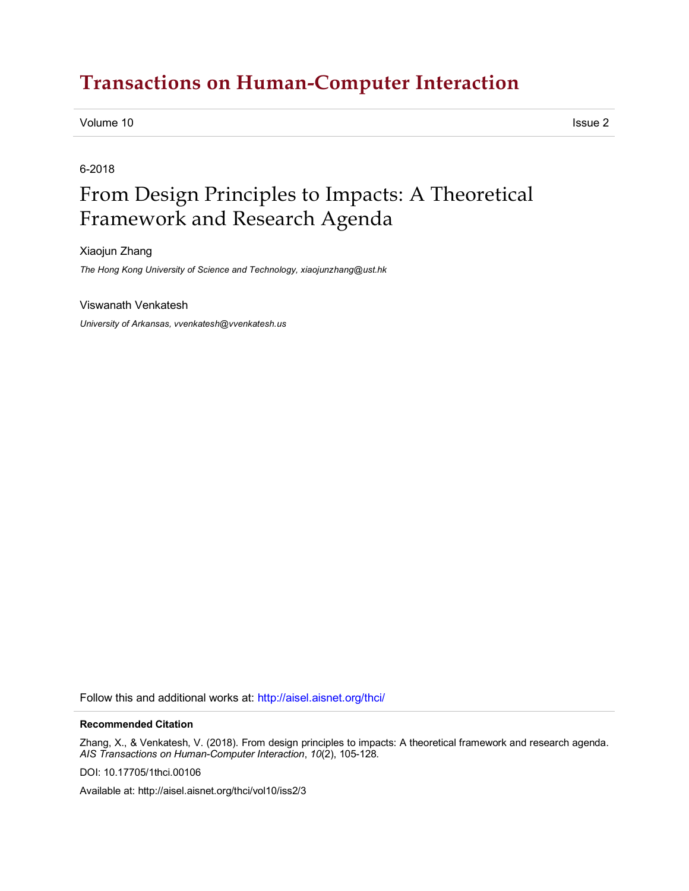# **Transactions on Human-Computer Interaction**

Volume 10 Issue 2

6-2018

# From Design Principles to Impacts: A Theoretical Framework and Research Agenda

Xiaojun Zhang

*The Hong Kong University of Science and Technology, xiaojunzhang@ust.hk*

#### Viswanath Venkatesh

*University of Arkansas, vvenkatesh@vvenkatesh.us*

Follow this and additional works at: http://aisel.aisnet.org/thci/

#### **Recommended Citation**

Zhang, X., & Venkatesh, V. (2018). From design principles to impacts: A theoretical framework and research agenda. *AIS Transactions on Human-Computer Interaction*, *10*(2), 105-128.

DOI: 10.17705/1thci.00106

Available at: http://aisel.aisnet.org/thci/vol10/iss2/3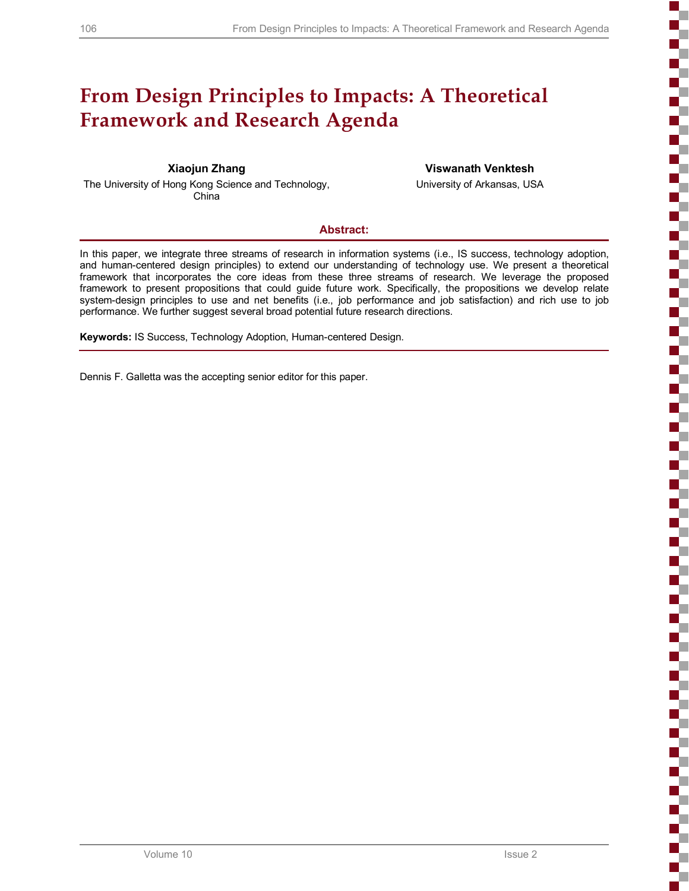# **From Design Principles to Impacts: A Theoretical Framework and Research Agenda**

**Xiaojun Zhang**

The University of Hong Kong Science and Technology, China

**Viswanath Venktesh**

 $\mathbb{R}^n$ 

**The State** 

**College** 

T. t, C,

Œ

E.

University of Arkansas, USA

#### **Abstract:**

In this paper, we integrate three streams of research in information systems (i.e., IS success, technology adoption, and human-centered design principles) to extend our understanding of technology use. We present a theoretical framework that incorporates the core ideas from these three streams of research. We leverage the proposed framework to present propositions that could guide future work. Specifically, the propositions we develop relate system-design principles to use and net benefits (i.e., job performance and job satisfaction) and rich use to job performance. We further suggest several broad potential future research directions.

**Keywords:** IS Success, Technology Adoption, Human-centered Design.

Dennis F. Galletta was the accepting senior editor for this paper.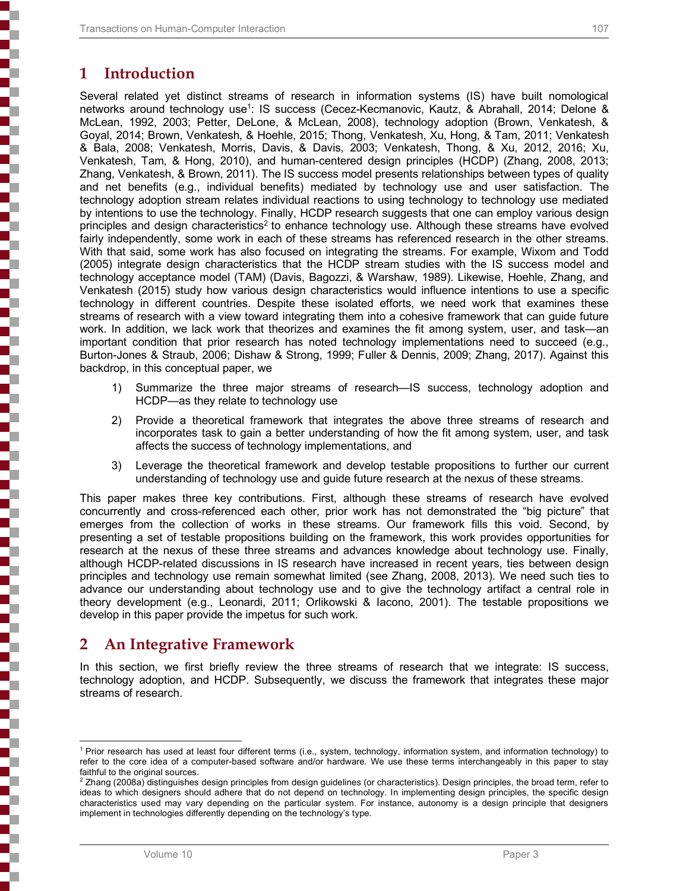# **1 Introduction**

Several related yet distinct streams of research in information systems (IS) have built nomological networks around technology use<sup>1</sup>: IS success (Cecez-Kecmanovic, Kautz, & Abrahall, 2014; Delone & McLean, 1992, 2003; Petter, DeLone, & McLean, 2008), technology adoption (Brown, Venkatesh, & Goyal, 2014; Brown, Venkatesh, & Hoehle, 2015; Thong, Venkatesh, Xu, Hong, & Tam, 2011; Venkatesh & Bala, 2008; Venkatesh, Morris, Davis, & Davis, 2003; Venkatesh, Thong, & Xu, 2012, 2016; Xu, Venkatesh, Tam, & Hong, 2010), and human-centered design principles (HCDP) (Zhang, 2008, 2013; Zhang, Venkatesh, & Brown, 2011). The IS success model presents relationships between types of quality and net benefits (e.g., individual benefits) mediated by technology use and user satisfaction. The technology adoption stream relates individual reactions to using technology to technology use mediated by intentions to use the technology. Finally, HCDP research suggests that one can employ various design principles and design characteristics<sup>2</sup> to enhance technology use. Although these streams have evolved fairly independently, some work in each of these streams has referenced research in the other streams. With that said, some work has also focused on integrating the streams. For example, Wixom and Todd (2005) integrate design characteristics that the HCDP stream studies with the IS success model and technology acceptance model (TAM) (Davis, Bagozzi, & Warshaw, 1989). Likewise, Hoehle, Zhang, and Venkatesh (2015) study how various design characteristics would influence intentions to use a specific technology in different countries. Despite these isolated efforts, we need work that examines these streams of research with a view toward integrating them into a cohesive framework that can guide future work. In addition, we lack work that theorizes and examines the fit among system, user, and task—an important condition that prior research has noted technology implementations need to succeed (e.g., Burton-Jones & Straub, 2006; Dishaw & Strong, 1999; Fuller & Dennis, 2009; Zhang, 2017). Against this backdrop, in this conceptual paper, we

- 1) Summarize the three major streams of research—IS success, technology adoption and HCDP—as they relate to technology use
- 2) Provide a theoretical framework that integrates the above three streams of research and incorporates task to gain a better understanding of how the fit among system, user, and task affects the success of technology implementations, and
- 3) Leverage the theoretical framework and develop testable propositions to further our current understanding of technology use and guide future research at the nexus of these streams.

This paper makes three key contributions. First, although these streams of research have evolved concurrently and cross-referenced each other, prior work has not demonstrated the "big picture" that emerges from the collection of works in these streams. Our framework fills this void. Second, by presenting a set of testable propositions building on the framework, this work provides opportunities for research at the nexus of these three streams and advances knowledge about technology use. Finally, although HCDP-related discussions in IS research have increased in recent years, ties between design principles and technology use remain somewhat limited (see Zhang, 2008, 2013). We need such ties to advance our understanding about technology use and to give the technology artifact a central role in theory development (e.g., Leonardi, 2011; Orlikowski & Iacono, 2001). The testable propositions we develop in this paper provide the impetus for such work.

## **2 An Integrative Framework**

In this section, we first briefly review the three streams of research that we integrate: IS success, technology adoption, and HCDP. Subsequently, we discuss the framework that integrates these major streams of research.

 <sup>1</sup> Prior research has used at least four different terms (i.e., system, technology, information system, and information technology) to refer to the core idea of a computer-based software and/or hardware. We use these terms interchangeably in this paper to stay faithful to the original sources.

 $^2$  Zhang (2008a) distinguishes design principles from design guidelines (or characteristics). Design principles, the broad term, refer to ideas to which designers should adhere that do not depend on technology. In implementing design principles, the specific design characteristics used may vary depending on the particular system. For instance, autonomy is a design principle that designers implement in technologies differently depending on the technology's type.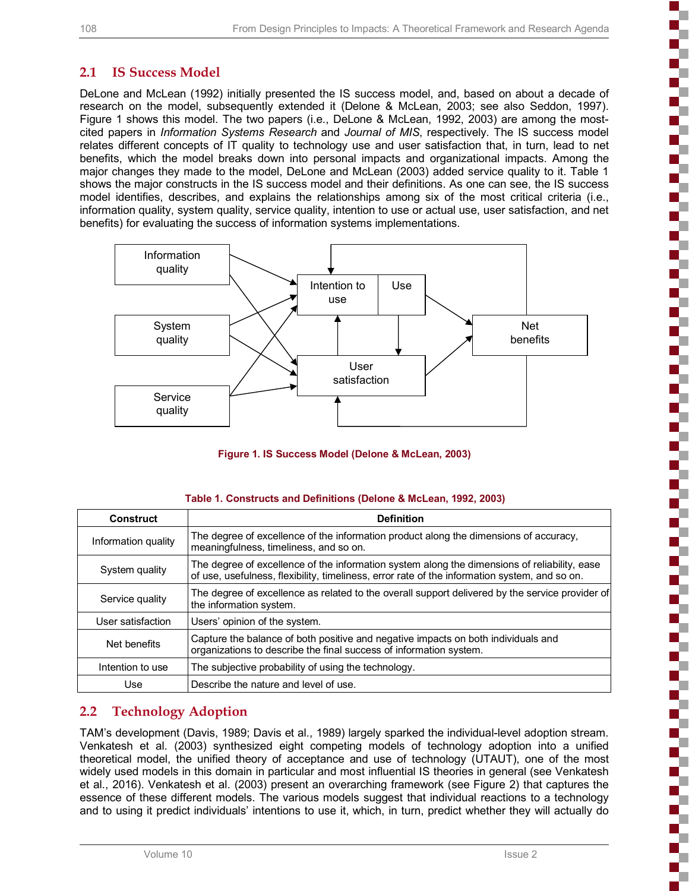## **2.1 IS Success Model**

DeLone and McLean (1992) initially presented the IS success model, and, based on about a decade of research on the model, subsequently extended it (Delone & McLean, 2003; see also Seddon, 1997). Figure 1 shows this model. The two papers (i.e., DeLone & McLean, 1992, 2003) are among the mostcited papers in *Information Systems Research* and *Journal of MIS*, respectively*.* The IS success model relates different concepts of IT quality to technology use and user satisfaction that, in turn, lead to net benefits, which the model breaks down into personal impacts and organizational impacts. Among the major changes they made to the model, DeLone and McLean (2003) added service quality to it. Table 1 shows the major constructs in the IS success model and their definitions. As one can see, the IS success model identifies, describes, and explains the relationships among six of the most critical criteria (i.e., information quality, system quality, service quality, intention to use or actual use, user satisfaction, and net benefits) for evaluating the success of information systems implementations.



**Figure 1. IS Success Model (Delone & McLean, 2003)**

|  | Table 1. Constructs and Definitions (Delone & McLean, 1992, 2003) |  |  |  |  |  |
|--|-------------------------------------------------------------------|--|--|--|--|--|
|--|-------------------------------------------------------------------|--|--|--|--|--|

| <b>Construct</b>    | <b>Definition</b>                                                                                                                                                                             |
|---------------------|-----------------------------------------------------------------------------------------------------------------------------------------------------------------------------------------------|
| Information quality | The degree of excellence of the information product along the dimensions of accuracy,<br>meaningfulness, timeliness, and so on.                                                               |
| System quality      | The degree of excellence of the information system along the dimensions of reliability, ease<br>of use, usefulness, flexibility, timeliness, error rate of the information system, and so on. |
| Service quality     | The degree of excellence as related to the overall support delivered by the service provider of<br>the information system.                                                                    |
| User satisfaction   | Users' opinion of the system.                                                                                                                                                                 |
| Net benefits        | Capture the balance of both positive and negative impacts on both individuals and<br>organizations to describe the final success of information system.                                       |
| Intention to use    | The subjective probability of using the technology.                                                                                                                                           |
| Use                 | Describe the nature and level of use.                                                                                                                                                         |

# **2.2 Technology Adoption**

TAM's development (Davis, 1989; Davis et al., 1989) largely sparked the individual-level adoption stream. Venkatesh et al. (2003) synthesized eight competing models of technology adoption into a unified theoretical model, the unified theory of acceptance and use of technology (UTAUT), one of the most widely used models in this domain in particular and most influential IS theories in general (see Venkatesh et al., 2016). Venkatesh et al. (2003) present an overarching framework (see Figure 2) that captures the essence of these different models. The various models suggest that individual reactions to a technology and to using it predict individuals' intentions to use it, which, in turn, predict whether they will actually do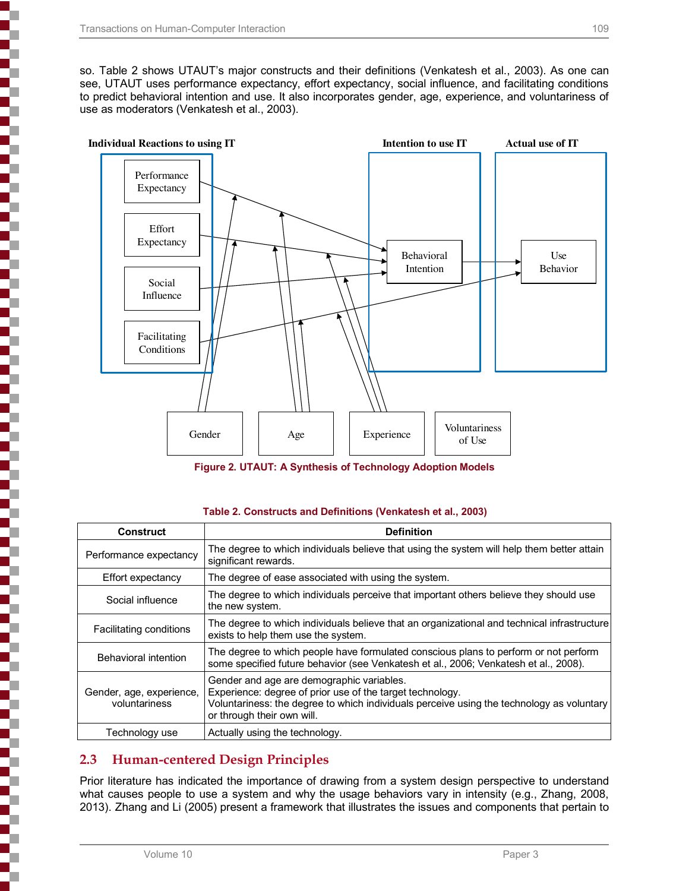**Contractor** 

j

l

₿

į

so. Table 2 shows UTAUT's major constructs and their definitions (Venkatesh et al., 2003). As one can see, UTAUT uses performance expectancy, effort expectancy, social influence, and facilitating conditions to predict behavioral intention and use. It also incorporates gender, age, experience, and voluntariness of use as moderators (Venkatesh et al., 2003).



**Figure 2. UTAUT: A Synthesis of Technology Adoption Models**

| Table 2. Constructs and Definitions (Venkatesh et al., 2003) |  |
|--------------------------------------------------------------|--|
|--------------------------------------------------------------|--|

| <b>Construct</b>                          | <b>Definition</b>                                                                                                                                                                                                                 |
|-------------------------------------------|-----------------------------------------------------------------------------------------------------------------------------------------------------------------------------------------------------------------------------------|
| Performance expectancy                    | The degree to which individuals believe that using the system will help them better attain<br>significant rewards.                                                                                                                |
| Effort expectancy                         | The degree of ease associated with using the system.                                                                                                                                                                              |
| Social influence                          | The degree to which individuals perceive that important others believe they should use<br>the new system.                                                                                                                         |
| <b>Facilitating conditions</b>            | The degree to which individuals believe that an organizational and technical infrastructure<br>exists to help them use the system.                                                                                                |
| Behavioral intention                      | The degree to which people have formulated conscious plans to perform or not perform<br>some specified future behavior (see Venkatesh et al., 2006; Venkatesh et al., 2008).                                                      |
| Gender, age, experience,<br>voluntariness | Gender and age are demographic variables.<br>Experience: degree of prior use of the target technology.<br>Voluntariness: the degree to which individuals perceive using the technology as voluntary<br>or through their own will. |
| Technology use                            | Actually using the technology.                                                                                                                                                                                                    |

## **2.3 Human-centered Design Principles**

Prior literature has indicated the importance of drawing from a system design perspective to understand what causes people to use a system and why the usage behaviors vary in intensity (e.g., Zhang, 2008, 2013). Zhang and Li (2005) present a framework that illustrates the issues and components that pertain to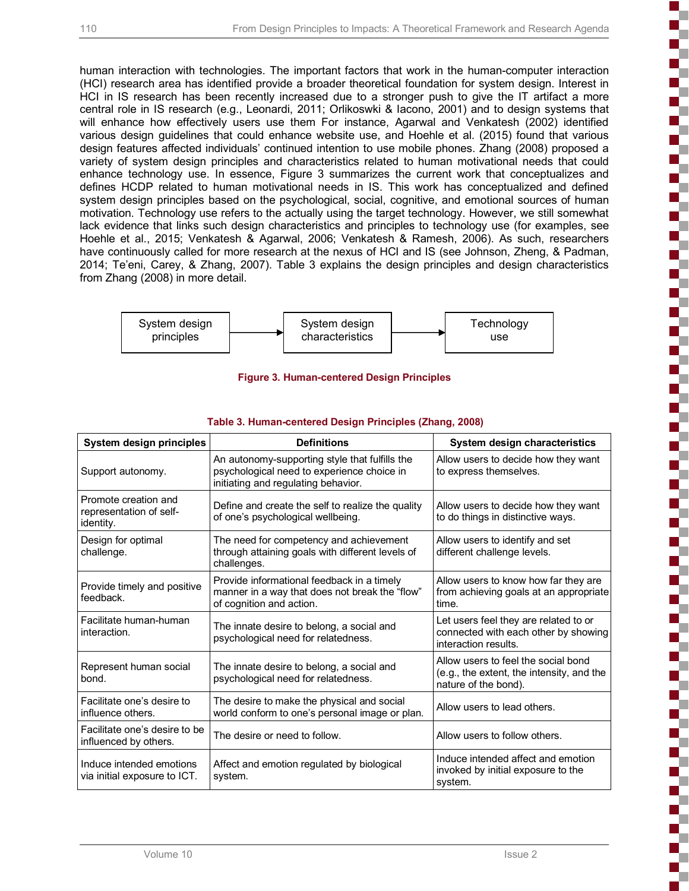human interaction with technologies. The important factors that work in the human-computer interaction (HCI) research area has identified provide a broader theoretical foundation for system design. Interest in HCI in IS research has been recently increased due to a stronger push to give the IT artifact a more central role in IS research (e.g., Leonardi, 2011; Orlikoswki & Iacono, 2001) and to design systems that will enhance how effectively users use them For instance, Agarwal and Venkatesh (2002) identified various design guidelines that could enhance website use, and Hoehle et al. (2015) found that various design features affected individuals' continued intention to use mobile phones. Zhang (2008) proposed a variety of system design principles and characteristics related to human motivational needs that could enhance technology use. In essence, Figure 3 summarizes the current work that conceptualizes and defines HCDP related to human motivational needs in IS. This work has conceptualized and defined system design principles based on the psychological, social, cognitive, and emotional sources of human motivation. Technology use refers to the actually using the target technology. However, we still somewhat lack evidence that links such design characteristics and principles to technology use (for examples, see Hoehle et al., 2015; Venkatesh & Agarwal, 2006; Venkatesh & Ramesh, 2006). As such, researchers have continuously called for more research at the nexus of HCI and IS (see Johnson, Zheng, & Padman, 2014; Te'eni, Carey, & Zhang, 2007). Table 3 explains the design principles and design characteristics from Zhang (2008) in more detail.



#### **Figure 3. Human-centered Design Principles**

| System design principles                                     | <b>Definitions</b>                                                                                                                  | System design characteristics                                                                            |
|--------------------------------------------------------------|-------------------------------------------------------------------------------------------------------------------------------------|----------------------------------------------------------------------------------------------------------|
| Support autonomy.                                            | An autonomy-supporting style that fulfills the<br>psychological need to experience choice in<br>initiating and regulating behavior. | Allow users to decide how they want<br>to express themselves.                                            |
| Promote creation and<br>representation of self-<br>identity. | Define and create the self to realize the quality<br>of one's psychological wellbeing.                                              | Allow users to decide how they want<br>to do things in distinctive ways.                                 |
| Design for optimal<br>challenge.                             | The need for competency and achievement<br>through attaining goals with different levels of<br>challenges.                          | Allow users to identify and set<br>different challenge levels.                                           |
| Provide timely and positive<br>feedback.                     | Provide informational feedback in a timely<br>manner in a way that does not break the "flow"<br>of cognition and action.            | Allow users to know how far they are<br>from achieving goals at an appropriate<br>time.                  |
| Facilitate human-human<br>interaction.                       | The innate desire to belong, a social and<br>psychological need for relatedness.                                                    | Let users feel they are related to or<br>connected with each other by showing<br>interaction results.    |
| Represent human social<br>bond.                              | The innate desire to belong, a social and<br>psychological need for relatedness.                                                    | Allow users to feel the social bond<br>(e.g., the extent, the intensity, and the<br>nature of the bond). |
| Facilitate one's desire to<br>influence others.              | The desire to make the physical and social<br>world conform to one's personal image or plan.                                        | Allow users to lead others.                                                                              |
| Facilitate one's desire to be<br>influenced by others.       | The desire or need to follow.                                                                                                       | Allow users to follow others.                                                                            |
| Induce intended emotions<br>via initial exposure to ICT.     | Affect and emotion regulated by biological<br>system.                                                                               | Induce intended affect and emotion<br>invoked by initial exposure to the<br>system.                      |

#### **Table 3. Human-centered Design Principles (Zhang, 2008)**

**The Co**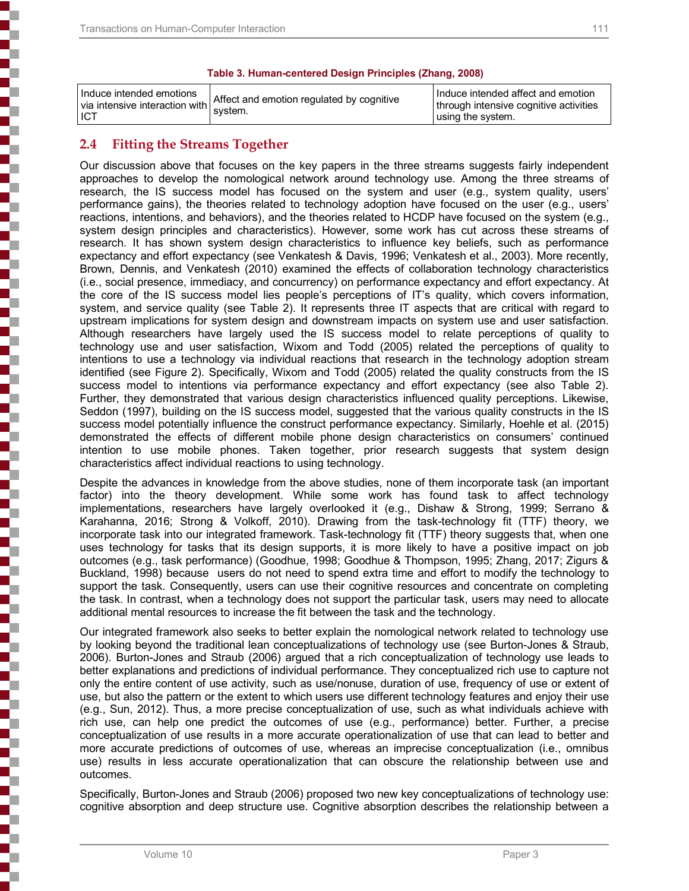| $1$ avic J. Haman-Centered Design Finicipies (Znang, Z000)               |                                                      |                                                                                                     |  |
|--------------------------------------------------------------------------|------------------------------------------------------|-----------------------------------------------------------------------------------------------------|--|
| Induce intended emotions<br>via intensive interaction with<br><b>ICT</b> | Affect and emotion regulated by cognitive<br>system. | I Induce intended affect and emotion<br>through intensive cognitive activities<br>using the system. |  |

#### **Table 3. Human-centered Design Principles (Zhang, 2008)**

## **2.4 Fitting the Streams Together**

Our discussion above that focuses on the key papers in the three streams suggests fairly independent approaches to develop the nomological network around technology use. Among the three streams of research, the IS success model has focused on the system and user (e.g., system quality, users' performance gains), the theories related to technology adoption have focused on the user (e.g., users' reactions, intentions, and behaviors), and the theories related to HCDP have focused on the system (e.g., system design principles and characteristics). However, some work has cut across these streams of research. It has shown system design characteristics to influence key beliefs, such as performance expectancy and effort expectancy (see Venkatesh & Davis, 1996; Venkatesh et al., 2003). More recently, Brown, Dennis, and Venkatesh (2010) examined the effects of collaboration technology characteristics (i.e., social presence, immediacy, and concurrency) on performance expectancy and effort expectancy. At the core of the IS success model lies people's perceptions of IT's quality, which covers information, system, and service quality (see Table 2). It represents three IT aspects that are critical with regard to upstream implications for system design and downstream impacts on system use and user satisfaction. Although researchers have largely used the IS success model to relate perceptions of quality to technology use and user satisfaction, Wixom and Todd (2005) related the perceptions of quality to intentions to use a technology via individual reactions that research in the technology adoption stream identified (see Figure 2). Specifically, Wixom and Todd (2005) related the quality constructs from the IS success model to intentions via performance expectancy and effort expectancy (see also Table 2). Further, they demonstrated that various design characteristics influenced quality perceptions. Likewise, Seddon (1997), building on the IS success model, suggested that the various quality constructs in the IS success model potentially influence the construct performance expectancy. Similarly, Hoehle et al. (2015) demonstrated the effects of different mobile phone design characteristics on consumers' continued intention to use mobile phones. Taken together, prior research suggests that system design characteristics affect individual reactions to using technology.

Despite the advances in knowledge from the above studies, none of them incorporate task (an important factor) into the theory development. While some work has found task to affect technology implementations, researchers have largely overlooked it (e.g., Dishaw & Strong, 1999; Serrano & Karahanna, 2016; Strong & Volkoff, 2010). Drawing from the task-technology fit (TTF) theory, we incorporate task into our integrated framework. Task-technology fit (TTF) theory suggests that, when one uses technology for tasks that its design supports, it is more likely to have a positive impact on job outcomes (e.g., task performance) (Goodhue, 1998; Goodhue & Thompson, 1995; Zhang, 2017; Zigurs & Buckland, 1998) because users do not need to spend extra time and effort to modify the technology to support the task. Consequently, users can use their cognitive resources and concentrate on completing the task. In contrast, when a technology does not support the particular task, users may need to allocate additional mental resources to increase the fit between the task and the technology.

Our integrated framework also seeks to better explain the nomological network related to technology use by looking beyond the traditional lean conceptualizations of technology use (see Burton-Jones & Straub, 2006). Burton-Jones and Straub (2006) argued that a rich conceptualization of technology use leads to better explanations and predictions of individual performance. They conceptualized rich use to capture not only the entire content of use activity, such as use/nonuse, duration of use, frequency of use or extent of use, but also the pattern or the extent to which users use different technology features and enjoy their use (e.g., Sun, 2012). Thus, a more precise conceptualization of use, such as what individuals achieve with rich use, can help one predict the outcomes of use (e.g., performance) better. Further, a precise conceptualization of use results in a more accurate operationalization of use that can lead to better and more accurate predictions of outcomes of use, whereas an imprecise conceptualization (i.e., omnibus use) results in less accurate operationalization that can obscure the relationship between use and outcomes.

Specifically, Burton-Jones and Straub (2006) proposed two new key conceptualizations of technology use: cognitive absorption and deep structure use. Cognitive absorption describes the relationship between a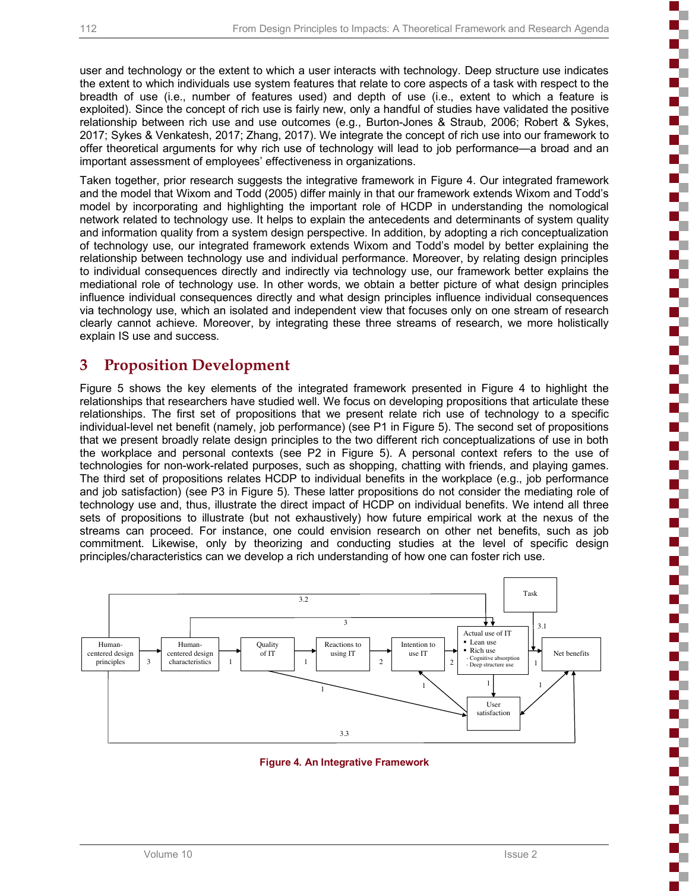user and technology or the extent to which a user interacts with technology. Deep structure use indicates the extent to which individuals use system features that relate to core aspects of a task with respect to the breadth of use (i.e., number of features used) and depth of use (i.e., extent to which a feature is exploited). Since the concept of rich use is fairly new, only a handful of studies have validated the positive relationship between rich use and use outcomes (e.g., Burton-Jones & Straub, 2006; Robert & Sykes, 2017; Sykes & Venkatesh, 2017; Zhang, 2017). We integrate the concept of rich use into our framework to offer theoretical arguments for why rich use of technology will lead to job performance—a broad and an important assessment of employees' effectiveness in organizations.

Taken together, prior research suggests the integrative framework in Figure 4. Our integrated framework and the model that Wixom and Todd (2005) differ mainly in that our framework extends Wixom and Todd's model by incorporating and highlighting the important role of HCDP in understanding the nomological network related to technology use. It helps to explain the antecedents and determinants of system quality and information quality from a system design perspective. In addition, by adopting a rich conceptualization of technology use, our integrated framework extends Wixom and Todd's model by better explaining the relationship between technology use and individual performance. Moreover, by relating design principles to individual consequences directly and indirectly via technology use, our framework better explains the mediational role of technology use. In other words, we obtain a better picture of what design principles influence individual consequences directly and what design principles influence individual consequences via technology use, which an isolated and independent view that focuses only on one stream of research clearly cannot achieve. Moreover, by integrating these three streams of research, we more holistically explain IS use and success.

# **3 Proposition Development**

Figure 5 shows the key elements of the integrated framework presented in Figure 4 to highlight the relationships that researchers have studied well. We focus on developing propositions that articulate these relationships. The first set of propositions that we present relate rich use of technology to a specific individual-level net benefit (namely, job performance) (see P1 in Figure 5). The second set of propositions that we present broadly relate design principles to the two different rich conceptualizations of use in both the workplace and personal contexts (see P2 in Figure 5). A personal context refers to the use of technologies for non-work-related purposes, such as shopping, chatting with friends, and playing games. The third set of propositions relates HCDP to individual benefits in the workplace (e.g., job performance and job satisfaction) (see P3 in Figure 5). These latter propositions do not consider the mediating role of technology use and, thus, illustrate the direct impact of HCDP on individual benefits. We intend all three sets of propositions to illustrate (but not exhaustively) how future empirical work at the nexus of the streams can proceed. For instance, one could envision research on other net benefits, such as job commitment. Likewise, only by theorizing and conducting studies at the level of specific design principles/characteristics can we develop a rich understanding of how one can foster rich use.



**Figure 4. An Integrative Framework**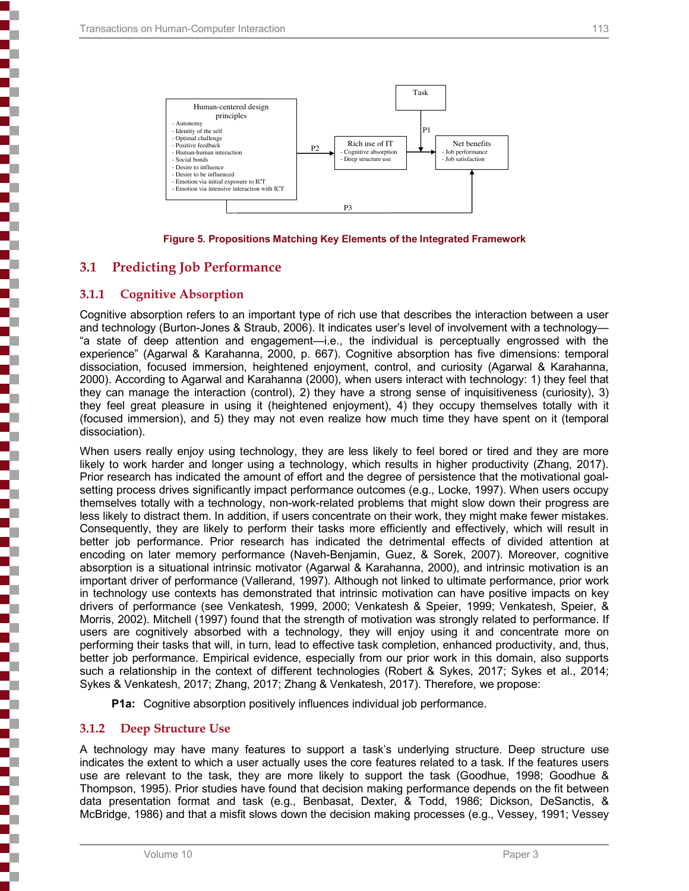



## **3.1 Predicting Job Performance**

### **3.1.1 Cognitive Absorption**

Cognitive absorption refers to an important type of rich use that describes the interaction between a user and technology (Burton-Jones & Straub, 2006). It indicates user's level of involvement with a technology— "a state of deep attention and engagement—i.e., the individual is perceptually engrossed with the experience" (Agarwal & Karahanna, 2000, p. 667). Cognitive absorption has five dimensions: temporal dissociation, focused immersion, heightened enjoyment, control, and curiosity (Agarwal & Karahanna, 2000). According to Agarwal and Karahanna (2000), when users interact with technology: 1) they feel that they can manage the interaction (control), 2) they have a strong sense of inquisitiveness (curiosity), 3) they feel great pleasure in using it (heightened enjoyment), 4) they occupy themselves totally with it (focused immersion), and 5) they may not even realize how much time they have spent on it (temporal dissociation).

When users really enjoy using technology, they are less likely to feel bored or tired and they are more likely to work harder and longer using a technology, which results in higher productivity (Zhang, 2017). Prior research has indicated the amount of effort and the degree of persistence that the motivational goalsetting process drives significantly impact performance outcomes (e.g., Locke, 1997). When users occupy themselves totally with a technology, non-work-related problems that might slow down their progress are less likely to distract them. In addition, if users concentrate on their work, they might make fewer mistakes. Consequently, they are likely to perform their tasks more efficiently and effectively, which will result in better job performance. Prior research has indicated the detrimental effects of divided attention at encoding on later memory performance (Naveh-Benjamin, Guez, & Sorek, 2007). Moreover, cognitive absorption is a situational intrinsic motivator (Agarwal & Karahanna, 2000), and intrinsic motivation is an important driver of performance (Vallerand, 1997). Although not linked to ultimate performance, prior work in technology use contexts has demonstrated that intrinsic motivation can have positive impacts on key drivers of performance (see Venkatesh, 1999, 2000; Venkatesh & Speier, 1999; Venkatesh, Speier, & Morris, 2002). Mitchell (1997) found that the strength of motivation was strongly related to performance. If users are cognitively absorbed with a technology, they will enjoy using it and concentrate more on performing their tasks that will, in turn, lead to effective task completion, enhanced productivity, and, thus, better job performance. Empirical evidence, especially from our prior work in this domain, also supports such a relationship in the context of different technologies (Robert & Sykes, 2017; Sykes et al., 2014; Sykes & Venkatesh, 2017; Zhang, 2017; Zhang & Venkatesh, 2017). Therefore, we propose:

**P1a:** Cognitive absorption positively influences individual job performance.

#### **3.1.2 Deep Structure Use**

A technology may have many features to support a task's underlying structure. Deep structure use indicates the extent to which a user actually uses the core features related to a task. If the features users use are relevant to the task, they are more likely to support the task (Goodhue, 1998; Goodhue & Thompson, 1995). Prior studies have found that decision making performance depends on the fit between data presentation format and task (e.g., Benbasat, Dexter, & Todd, 1986; Dickson, DeSanctis, & McBridge, 1986) and that a misfit slows down the decision making processes (e.g., Vessey, 1991; Vessey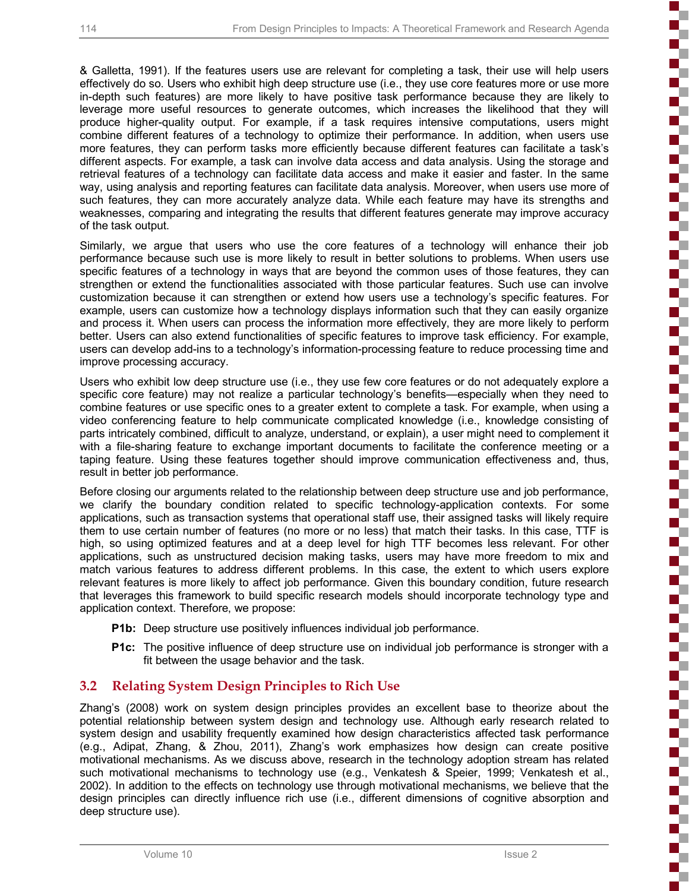5

Ş

F

Ę

Ś

i<br>Sidoo

n.

& Galletta, 1991). If the features users use are relevant for completing a task, their use will help users effectively do so. Users who exhibit high deep structure use (i.e., they use core features more or use more in-depth such features) are more likely to have positive task performance because they are likely to leverage more useful resources to generate outcomes, which increases the likelihood that they will produce higher-quality output. For example, if a task requires intensive computations, users might combine different features of a technology to optimize their performance. In addition, when users use more features, they can perform tasks more efficiently because different features can facilitate a task's different aspects. For example, a task can involve data access and data analysis. Using the storage and retrieval features of a technology can facilitate data access and make it easier and faster. In the same way, using analysis and reporting features can facilitate data analysis. Moreover, when users use more of such features, they can more accurately analyze data. While each feature may have its strengths and weaknesses, comparing and integrating the results that different features generate may improve accuracy of the task output.

Similarly, we argue that users who use the core features of a technology will enhance their job performance because such use is more likely to result in better solutions to problems. When users use specific features of a technology in ways that are beyond the common uses of those features, they can strengthen or extend the functionalities associated with those particular features. Such use can involve customization because it can strengthen or extend how users use a technology's specific features. For example, users can customize how a technology displays information such that they can easily organize and process it. When users can process the information more effectively, they are more likely to perform better. Users can also extend functionalities of specific features to improve task efficiency. For example, users can develop add-ins to a technology's information-processing feature to reduce processing time and improve processing accuracy.

Users who exhibit low deep structure use (i.e., they use few core features or do not adequately explore a specific core feature) may not realize a particular technology's benefits—especially when they need to combine features or use specific ones to a greater extent to complete a task. For example, when using a video conferencing feature to help communicate complicated knowledge (i.e., knowledge consisting of parts intricately combined, difficult to analyze, understand, or explain), a user might need to complement it with a file-sharing feature to exchange important documents to facilitate the conference meeting or a taping feature. Using these features together should improve communication effectiveness and, thus, result in better job performance.

Before closing our arguments related to the relationship between deep structure use and job performance, we clarify the boundary condition related to specific technology-application contexts. For some applications, such as transaction systems that operational staff use, their assigned tasks will likely require them to use certain number of features (no more or no less) that match their tasks. In this case, TTF is high, so using optimized features and at a deep level for high TTF becomes less relevant. For other applications, such as unstructured decision making tasks, users may have more freedom to mix and match various features to address different problems. In this case, the extent to which users explore relevant features is more likely to affect job performance. Given this boundary condition, future research that leverages this framework to build specific research models should incorporate technology type and application context. Therefore, we propose:

- **P1b:** Deep structure use positively influences individual job performance.
- **P1c:** The positive influence of deep structure use on individual job performance is stronger with a fit between the usage behavior and the task.

## **3.2 Relating System Design Principles to Rich Use**

Zhang's (2008) work on system design principles provides an excellent base to theorize about the potential relationship between system design and technology use. Although early research related to system design and usability frequently examined how design characteristics affected task performance (e.g., Adipat, Zhang, & Zhou, 2011), Zhang's work emphasizes how design can create positive motivational mechanisms. As we discuss above, research in the technology adoption stream has related such motivational mechanisms to technology use (e.g., Venkatesh & Speier, 1999; Venkatesh et al., 2002). In addition to the effects on technology use through motivational mechanisms, we believe that the design principles can directly influence rich use (i.e., different dimensions of cognitive absorption and deep structure use).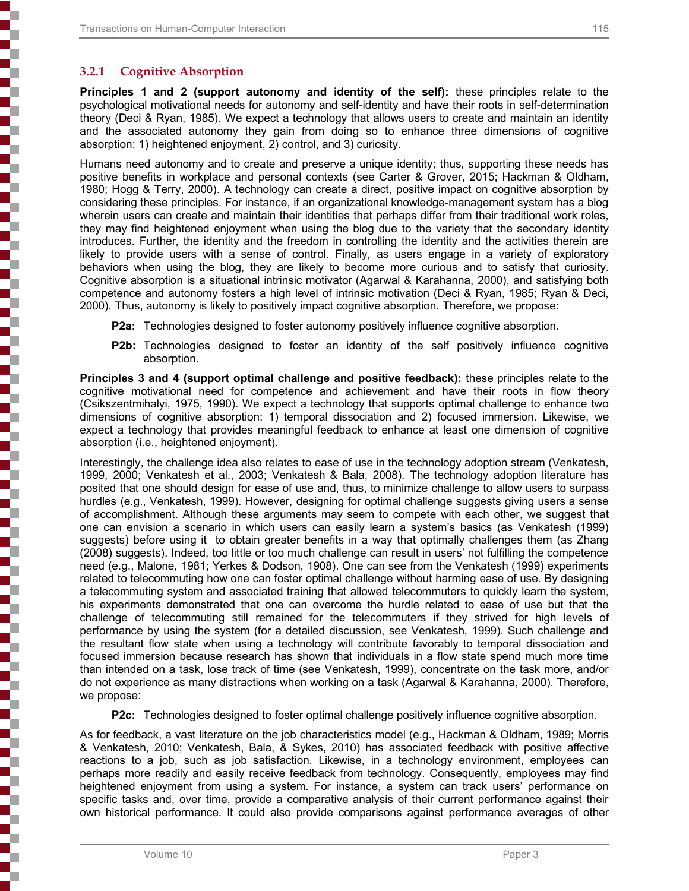## **3.2.1 Cognitive Absorption**

į

▌

┋

**Principles 1 and 2 (support autonomy and identity of the self):** these principles relate to the psychological motivational needs for autonomy and self-identity and have their roots in self-determination theory (Deci & Ryan, 1985). We expect a technology that allows users to create and maintain an identity and the associated autonomy they gain from doing so to enhance three dimensions of cognitive absorption: 1) heightened enjoyment, 2) control, and 3) curiosity.

Humans need autonomy and to create and preserve a unique identity; thus, supporting these needs has positive benefits in workplace and personal contexts (see Carter & Grover, 2015; Hackman & Oldham, 1980; Hogg & Terry, 2000). A technology can create a direct, positive impact on cognitive absorption by considering these principles. For instance, if an organizational knowledge-management system has a blog wherein users can create and maintain their identities that perhaps differ from their traditional work roles, they may find heightened enjoyment when using the blog due to the variety that the secondary identity introduces. Further, the identity and the freedom in controlling the identity and the activities therein are likely to provide users with a sense of control. Finally, as users engage in a variety of exploratory behaviors when using the blog, they are likely to become more curious and to satisfy that curiosity. Cognitive absorption is a situational intrinsic motivator (Agarwal & Karahanna, 2000), and satisfying both competence and autonomy fosters a high level of intrinsic motivation (Deci & Ryan, 1985; Ryan & Deci, 2000). Thus, autonomy is likely to positively impact cognitive absorption. Therefore, we propose:

- **P2a:** Technologies designed to foster autonomy positively influence cognitive absorption.
- **P2b:** Technologies designed to foster an identity of the self positively influence cognitive absorption.

**Principles 3 and 4 (support optimal challenge and positive feedback):** these principles relate to the cognitive motivational need for competence and achievement and have their roots in flow theory (Csikszentmihalyi, 1975, 1990). We expect a technology that supports optimal challenge to enhance two dimensions of cognitive absorption: 1) temporal dissociation and 2) focused immersion. Likewise, we expect a technology that provides meaningful feedback to enhance at least one dimension of cognitive absorption (i.e., heightened enjoyment).

Interestingly, the challenge idea also relates to ease of use in the technology adoption stream (Venkatesh, 1999, 2000; Venkatesh et al., 2003; Venkatesh & Bala, 2008). The technology adoption literature has posited that one should design for ease of use and, thus, to minimize challenge to allow users to surpass hurdles (e.g., Venkatesh, 1999). However, designing for optimal challenge suggests giving users a sense of accomplishment. Although these arguments may seem to compete with each other, we suggest that one can envision a scenario in which users can easily learn a system's basics (as Venkatesh (1999) suggests) before using it to obtain greater benefits in a way that optimally challenges them (as Zhang (2008) suggests). Indeed, too little or too much challenge can result in users' not fulfilling the competence need (e.g., Malone, 1981; Yerkes & Dodson, 1908). One can see from the Venkatesh (1999) experiments related to telecommuting how one can foster optimal challenge without harming ease of use. By designing a telecommuting system and associated training that allowed telecommuters to quickly learn the system, his experiments demonstrated that one can overcome the hurdle related to ease of use but that the challenge of telecommuting still remained for the telecommuters if they strived for high levels of performance by using the system (for a detailed discussion, see Venkatesh, 1999). Such challenge and the resultant flow state when using a technology will contribute favorably to temporal dissociation and focused immersion because research has shown that individuals in a flow state spend much more time than intended on a task, lose track of time (see Venkatesh, 1999), concentrate on the task more, and/or do not experience as many distractions when working on a task (Agarwal & Karahanna, 2000). Therefore, we propose:

**P2c:** Technologies designed to foster optimal challenge positively influence cognitive absorption.

As for feedback, a vast literature on the job characteristics model (e.g., Hackman & Oldham, 1989; Morris & Venkatesh, 2010; Venkatesh, Bala, & Sykes, 2010) has associated feedback with positive affective reactions to a job, such as job satisfaction. Likewise, in a technology environment, employees can perhaps more readily and easily receive feedback from technology. Consequently, employees may find heightened enjoyment from using a system. For instance, a system can track users' performance on specific tasks and, over time, provide a comparative analysis of their current performance against their own historical performance. It could also provide comparisons against performance averages of other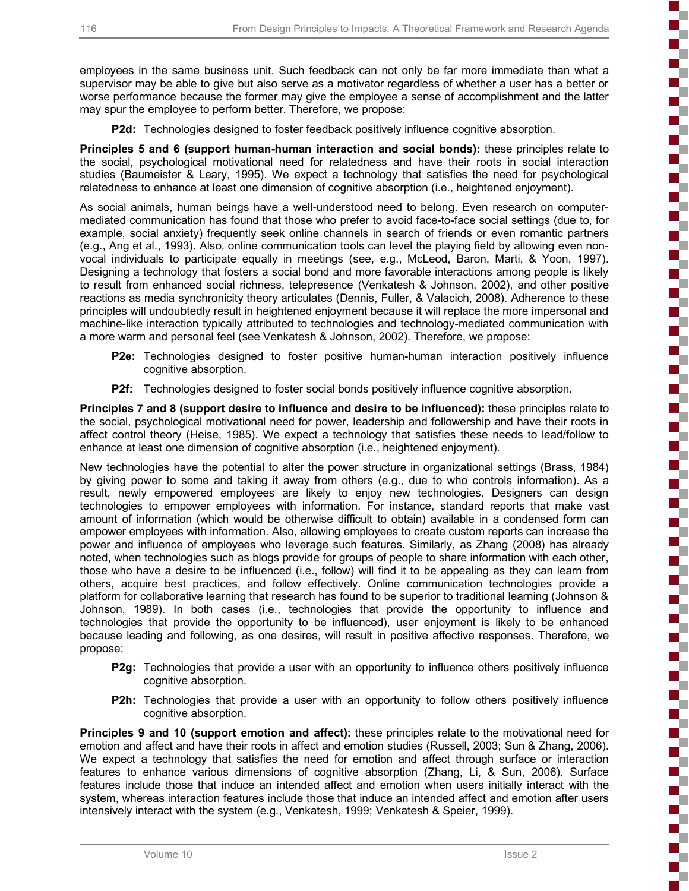ì

S

ç

Ş

i

Ś

Ş.

Ş

i<br>Si

5

i

n T

employees in the same business unit. Such feedback can not only be far more immediate than what a supervisor may be able to give but also serve as a motivator regardless of whether a user has a better or worse performance because the former may give the employee a sense of accomplishment and the latter may spur the employee to perform better. Therefore, we propose:

**P2d:** Technologies designed to foster feedback positively influence cognitive absorption.

**Principles 5 and 6 (support human-human interaction and social bonds):** these principles relate to the social, psychological motivational need for relatedness and have their roots in social interaction studies (Baumeister & Leary, 1995). We expect a technology that satisfies the need for psychological relatedness to enhance at least one dimension of cognitive absorption (i.e., heightened enjoyment).

As social animals, human beings have a well-understood need to belong. Even research on computermediated communication has found that those who prefer to avoid face-to-face social settings (due to, for example, social anxiety) frequently seek online channels in search of friends or even romantic partners (e.g., Ang et al., 1993). Also, online communication tools can level the playing field by allowing even nonvocal individuals to participate equally in meetings (see, e.g., McLeod, Baron, Marti, & Yoon, 1997). Designing a technology that fosters a social bond and more favorable interactions among people is likely to result from enhanced social richness, telepresence (Venkatesh & Johnson, 2002), and other positive reactions as media synchronicity theory articulates (Dennis, Fuller, & Valacich, 2008). Adherence to these principles will undoubtedly result in heightened enjoyment because it will replace the more impersonal and machine-like interaction typically attributed to technologies and technology-mediated communication with a more warm and personal feel (see Venkatesh & Johnson, 2002). Therefore, we propose:

- **P2e:** Technologies designed to foster positive human-human interaction positively influence cognitive absorption.
- **P2f:** Technologies designed to foster social bonds positively influence cognitive absorption.

**Principles 7 and 8 (support desire to influence and desire to be influenced):** these principles relate to the social, psychological motivational need for power, leadership and followership and have their roots in affect control theory (Heise, 1985). We expect a technology that satisfies these needs to lead/follow to enhance at least one dimension of cognitive absorption (i.e., heightened enjoyment).

New technologies have the potential to alter the power structure in organizational settings (Brass, 1984) by giving power to some and taking it away from others (e.g., due to who controls information). As a result, newly empowered employees are likely to enjoy new technologies. Designers can design technologies to empower employees with information. For instance, standard reports that make vast amount of information (which would be otherwise difficult to obtain) available in a condensed form can empower employees with information. Also, allowing employees to create custom reports can increase the power and influence of employees who leverage such features. Similarly, as Zhang (2008) has already noted, when technologies such as blogs provide for groups of people to share information with each other, those who have a desire to be influenced (i.e., follow) will find it to be appealing as they can learn from others, acquire best practices, and follow effectively. Online communication technologies provide a platform for collaborative learning that research has found to be superior to traditional learning (Johnson & Johnson, 1989). In both cases (i.e., technologies that provide the opportunity to influence and technologies that provide the opportunity to be influenced), user enjoyment is likely to be enhanced because leading and following, as one desires, will result in positive affective responses. Therefore, we propose:

- **P2g:** Technologies that provide a user with an opportunity to influence others positively influence cognitive absorption.
- **P2h:** Technologies that provide a user with an opportunity to follow others positively influence cognitive absorption.

**Principles 9 and 10 (support emotion and affect):** these principles relate to the motivational need for emotion and affect and have their roots in affect and emotion studies (Russell, 2003; Sun & Zhang, 2006). We expect a technology that satisfies the need for emotion and affect through surface or interaction features to enhance various dimensions of cognitive absorption (Zhang, Li, & Sun, 2006). Surface features include those that induce an intended affect and emotion when users initially interact with the system, whereas interaction features include those that induce an intended affect and emotion after users intensively interact with the system (e.g., Venkatesh, 1999; Venkatesh & Speier, 1999).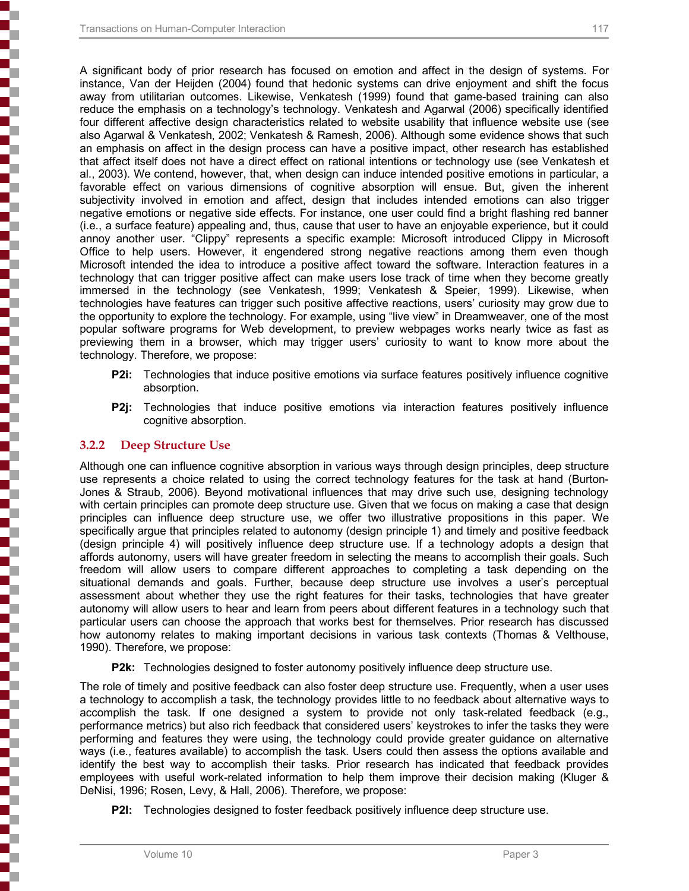A significant body of prior research has focused on emotion and affect in the design of systems. For instance, Van der Heijden (2004) found that hedonic systems can drive enjoyment and shift the focus away from utilitarian outcomes. Likewise, Venkatesh (1999) found that game-based training can also reduce the emphasis on a technology's technology. Venkatesh and Agarwal (2006) specifically identified four different affective design characteristics related to website usability that influence website use (see also Agarwal & Venkatesh, 2002; Venkatesh & Ramesh, 2006). Although some evidence shows that such an emphasis on affect in the design process can have a positive impact, other research has established that affect itself does not have a direct effect on rational intentions or technology use (see Venkatesh et al., 2003). We contend, however, that, when design can induce intended positive emotions in particular, a favorable effect on various dimensions of cognitive absorption will ensue. But, given the inherent subjectivity involved in emotion and affect, design that includes intended emotions can also trigger negative emotions or negative side effects. For instance, one user could find a bright flashing red banner (i.e., a surface feature) appealing and, thus, cause that user to have an enjoyable experience, but it could annoy another user. "Clippy" represents a specific example: Microsoft introduced Clippy in Microsoft Office to help users. However, it engendered strong negative reactions among them even though Microsoft intended the idea to introduce a positive affect toward the software. Interaction features in a technology that can trigger positive affect can make users lose track of time when they become greatly immersed in the technology (see Venkatesh, 1999; Venkatesh & Speier, 1999). Likewise, when technologies have features can trigger such positive affective reactions, users' curiosity may grow due to the opportunity to explore the technology. For example, using "live view" in Dreamweaver, one of the most popular software programs for Web development, to preview webpages works nearly twice as fast as previewing them in a browser, which may trigger users' curiosity to want to know more about the technology. Therefore, we propose:

- **P2i:** Technologies that induce positive emotions via surface features positively influence cognitive absorption.
- **P2j:** Technologies that induce positive emotions via interaction features positively influence cognitive absorption.

## **3.2.2 Deep Structure Use**

Although one can influence cognitive absorption in various ways through design principles, deep structure use represents a choice related to using the correct technology features for the task at hand (Burton-Jones & Straub, 2006). Beyond motivational influences that may drive such use, designing technology with certain principles can promote deep structure use. Given that we focus on making a case that design principles can influence deep structure use, we offer two illustrative propositions in this paper. We specifically argue that principles related to autonomy (design principle 1) and timely and positive feedback (design principle 4) will positively influence deep structure use. If a technology adopts a design that affords autonomy, users will have greater freedom in selecting the means to accomplish their goals. Such freedom will allow users to compare different approaches to completing a task depending on the situational demands and goals. Further, because deep structure use involves a user's perceptual assessment about whether they use the right features for their tasks, technologies that have greater autonomy will allow users to hear and learn from peers about different features in a technology such that particular users can choose the approach that works best for themselves. Prior research has discussed how autonomy relates to making important decisions in various task contexts (Thomas & Velthouse, 1990). Therefore, we propose:

**P2k:** Technologies designed to foster autonomy positively influence deep structure use.

The role of timely and positive feedback can also foster deep structure use. Frequently, when a user uses a technology to accomplish a task, the technology provides little to no feedback about alternative ways to accomplish the task. If one designed a system to provide not only task-related feedback (e.g., performance metrics) but also rich feedback that considered users' keystrokes to infer the tasks they were performing and features they were using, the technology could provide greater guidance on alternative ways (i.e., features available) to accomplish the task. Users could then assess the options available and identify the best way to accomplish their tasks. Prior research has indicated that feedback provides employees with useful work-related information to help them improve their decision making (Kluger & DeNisi, 1996; Rosen, Levy, & Hall, 2006). Therefore, we propose:

**P2l:** Technologies designed to foster feedback positively influence deep structure use.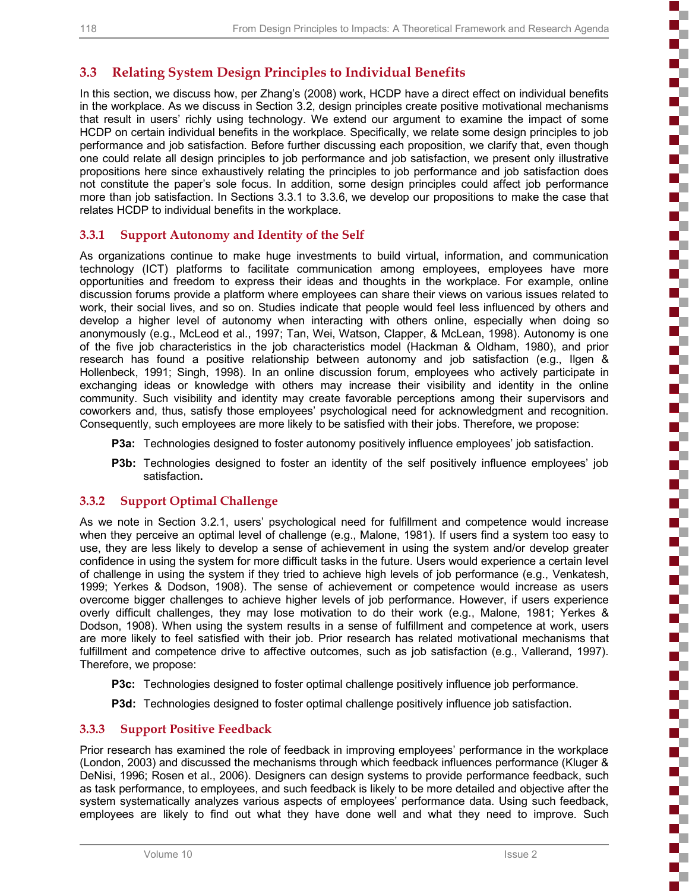5 ▜

ş

F

g

ŧ

n T

Ŝ

Ş

c

Ŧ

n. ī,

ş

E

ì

Í

5 Т **TILL** 

ŝ

Т **TT** 

## **3.3 Relating System Design Principles to Individual Benefits**

In this section, we discuss how, per Zhang's (2008) work, HCDP have a direct effect on individual benefits in the workplace. As we discuss in Section 3.2, design principles create positive motivational mechanisms that result in users' richly using technology. We extend our argument to examine the impact of some HCDP on certain individual benefits in the workplace. Specifically, we relate some design principles to job performance and job satisfaction. Before further discussing each proposition, we clarify that, even though one could relate all design principles to job performance and job satisfaction, we present only illustrative propositions here since exhaustively relating the principles to job performance and job satisfaction does not constitute the paper's sole focus. In addition, some design principles could affect job performance more than job satisfaction. In Sections 3.3.1 to 3.3.6, we develop our propositions to make the case that relates HCDP to individual benefits in the workplace.

## **3.3.1 Support Autonomy and Identity of the Self**

As organizations continue to make huge investments to build virtual, information, and communication technology (ICT) platforms to facilitate communication among employees, employees have more opportunities and freedom to express their ideas and thoughts in the workplace. For example, online discussion forums provide a platform where employees can share their views on various issues related to work, their social lives, and so on. Studies indicate that people would feel less influenced by others and develop a higher level of autonomy when interacting with others online, especially when doing so anonymously (e.g., McLeod et al., 1997; Tan, Wei, Watson, Clapper, & McLean, 1998). Autonomy is one of the five job characteristics in the job characteristics model (Hackman & Oldham, 1980), and prior research has found a positive relationship between autonomy and job satisfaction (e.g., Ilgen & Hollenbeck, 1991; Singh, 1998). In an online discussion forum, employees who actively participate in exchanging ideas or knowledge with others may increase their visibility and identity in the online community. Such visibility and identity may create favorable perceptions among their supervisors and coworkers and, thus, satisfy those employees' psychological need for acknowledgment and recognition. Consequently, such employees are more likely to be satisfied with their jobs. Therefore, we propose:

- **P3a:** Technologies designed to foster autonomy positively influence employees' job satisfaction.
- **P3b:** Technologies designed to foster an identity of the self positively influence employees' job satisfaction**.**

## **3.3.2 Support Optimal Challenge**

As we note in Section 3.2.1, users' psychological need for fulfillment and competence would increase when they perceive an optimal level of challenge (e.g., Malone, 1981). If users find a system too easy to use, they are less likely to develop a sense of achievement in using the system and/or develop greater confidence in using the system for more difficult tasks in the future. Users would experience a certain level of challenge in using the system if they tried to achieve high levels of job performance (e.g., Venkatesh, 1999; Yerkes & Dodson, 1908). The sense of achievement or competence would increase as users overcome bigger challenges to achieve higher levels of job performance. However, if users experience overly difficult challenges, they may lose motivation to do their work (e.g., Malone, 1981; Yerkes & Dodson, 1908). When using the system results in a sense of fulfillment and competence at work, users are more likely to feel satisfied with their job. Prior research has related motivational mechanisms that fulfillment and competence drive to affective outcomes, such as job satisfaction (e.g., Vallerand, 1997). Therefore, we propose:

- **P3c:** Technologies designed to foster optimal challenge positively influence job performance.
- **P3d:** Technologies designed to foster optimal challenge positively influence job satisfaction.

## **3.3.3 Support Positive Feedback**

Prior research has examined the role of feedback in improving employees' performance in the workplace (London, 2003) and discussed the mechanisms through which feedback influences performance (Kluger & DeNisi, 1996; Rosen et al., 2006). Designers can design systems to provide performance feedback, such as task performance, to employees, and such feedback is likely to be more detailed and objective after the system systematically analyzes various aspects of employees' performance data. Using such feedback, employees are likely to find out what they have done well and what they need to improve. Such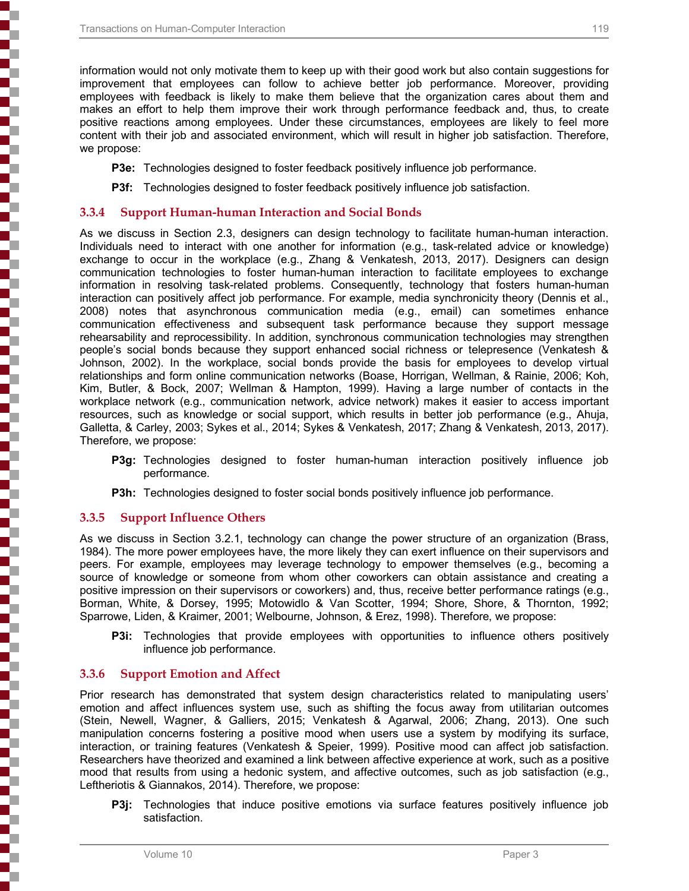information would not only motivate them to keep up with their good work but also contain suggestions for improvement that employees can follow to achieve better job performance. Moreover, providing employees with feedback is likely to make them believe that the organization cares about them and makes an effort to help them improve their work through performance feedback and, thus, to create positive reactions among employees. Under these circumstances, employees are likely to feel more content with their job and associated environment, which will result in higher job satisfaction. Therefore, we propose:

- **P3e:** Technologies designed to foster feedback positively influence job performance.
- **P3f:** Technologies designed to foster feedback positively influence job satisfaction.

### **3.3.4 Support Human-human Interaction and Social Bonds**

As we discuss in Section 2.3, designers can design technology to facilitate human-human interaction. Individuals need to interact with one another for information (e.g., task-related advice or knowledge) exchange to occur in the workplace (e.g., Zhang & Venkatesh, 2013, 2017). Designers can design communication technologies to foster human-human interaction to facilitate employees to exchange information in resolving task-related problems. Consequently, technology that fosters human-human interaction can positively affect job performance. For example, media synchronicity theory (Dennis et al., 2008) notes that asynchronous communication media (e.g., email) can sometimes enhance communication effectiveness and subsequent task performance because they support message rehearsability and reprocessibility. In addition, synchronous communication technologies may strengthen people's social bonds because they support enhanced social richness or telepresence (Venkatesh & Johnson, 2002). In the workplace, social bonds provide the basis for employees to develop virtual relationships and form online communication networks (Boase, Horrigan, Wellman, & Rainie, 2006; Koh, Kim, Butler, & Bock, 2007; Wellman & Hampton, 1999). Having a large number of contacts in the workplace network (e.g., communication network, advice network) makes it easier to access important resources, such as knowledge or social support, which results in better job performance (e.g., Ahuja, Galletta, & Carley, 2003; Sykes et al., 2014; Sykes & Venkatesh, 2017; Zhang & Venkatesh, 2013, 2017). Therefore, we propose:

- **P3g:** Technologies designed to foster human-human interaction positively influence job performance.
- **P3h:** Technologies designed to foster social bonds positively influence job performance.

#### **3.3.5 Support Influence Others**

As we discuss in Section 3.2.1, technology can change the power structure of an organization (Brass, 1984). The more power employees have, the more likely they can exert influence on their supervisors and peers. For example, employees may leverage technology to empower themselves (e.g., becoming a source of knowledge or someone from whom other coworkers can obtain assistance and creating a positive impression on their supervisors or coworkers) and, thus, receive better performance ratings (e.g., Borman, White, & Dorsey, 1995; Motowidlo & Van Scotter, 1994; Shore, Shore, & Thornton, 1992; Sparrowe, Liden, & Kraimer, 2001; Welbourne, Johnson, & Erez, 1998). Therefore, we propose:

**P3i:** Technologies that provide employees with opportunities to influence others positively influence job performance.

## **3.3.6 Support Emotion and Affect**

Prior research has demonstrated that system design characteristics related to manipulating users' emotion and affect influences system use, such as shifting the focus away from utilitarian outcomes (Stein, Newell, Wagner, & Galliers, 2015; Venkatesh & Agarwal, 2006; Zhang, 2013). One such manipulation concerns fostering a positive mood when users use a system by modifying its surface, interaction, or training features (Venkatesh & Speier, 1999). Positive mood can affect job satisfaction. Researchers have theorized and examined a link between affective experience at work, such as a positive mood that results from using a hedonic system, and affective outcomes, such as job satisfaction (e.g., Leftheriotis & Giannakos, 2014). Therefore, we propose:

**P3j:** Technologies that induce positive emotions via surface features positively influence job satisfaction.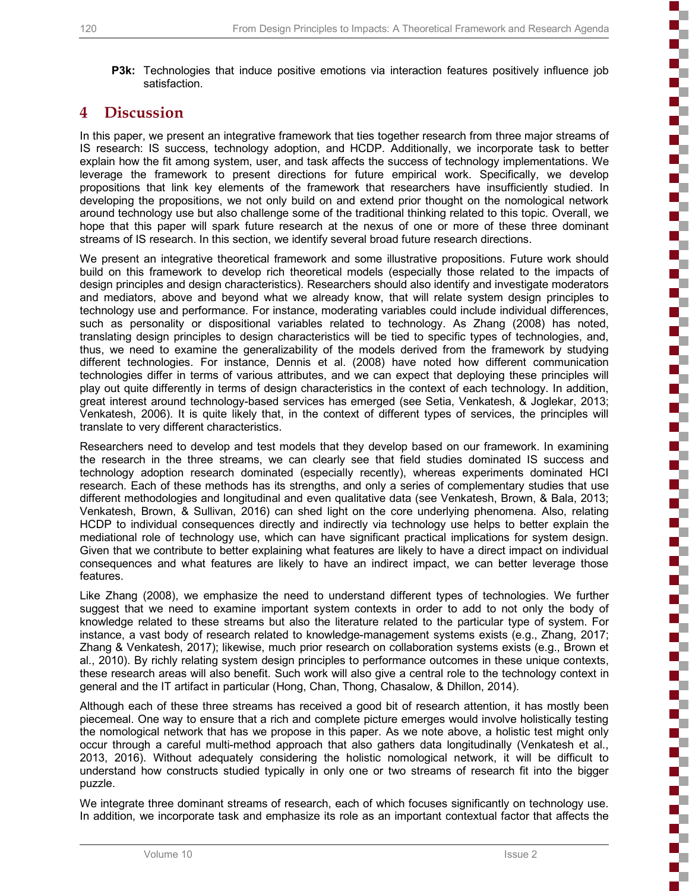Ş

F

Ş

i

j

n.

ŝ

n T

**P3k:** Technologies that induce positive emotions via interaction features positively influence job satisfaction.

# **4 Discussion**

In this paper, we present an integrative framework that ties together research from three major streams of IS research: IS success, technology adoption, and HCDP. Additionally, we incorporate task to better explain how the fit among system, user, and task affects the success of technology implementations. We leverage the framework to present directions for future empirical work. Specifically, we develop propositions that link key elements of the framework that researchers have insufficiently studied. In developing the propositions, we not only build on and extend prior thought on the nomological network around technology use but also challenge some of the traditional thinking related to this topic. Overall, we hope that this paper will spark future research at the nexus of one or more of these three dominant streams of IS research. In this section, we identify several broad future research directions.

We present an integrative theoretical framework and some illustrative propositions. Future work should build on this framework to develop rich theoretical models (especially those related to the impacts of design principles and design characteristics). Researchers should also identify and investigate moderators and mediators, above and beyond what we already know, that will relate system design principles to technology use and performance. For instance, moderating variables could include individual differences, such as personality or dispositional variables related to technology. As Zhang (2008) has noted, translating design principles to design characteristics will be tied to specific types of technologies, and, thus, we need to examine the generalizability of the models derived from the framework by studying different technologies. For instance, Dennis et al. (2008) have noted how different communication technologies differ in terms of various attributes, and we can expect that deploying these principles will play out quite differently in terms of design characteristics in the context of each technology. In addition, great interest around technology-based services has emerged (see Setia, Venkatesh, & Joglekar, 2013; Venkatesh, 2006). It is quite likely that, in the context of different types of services, the principles will translate to very different characteristics.

Researchers need to develop and test models that they develop based on our framework. In examining the research in the three streams, we can clearly see that field studies dominated IS success and technology adoption research dominated (especially recently), whereas experiments dominated HCI research. Each of these methods has its strengths, and only a series of complementary studies that use different methodologies and longitudinal and even qualitative data (see Venkatesh, Brown, & Bala, 2013; Venkatesh, Brown, & Sullivan, 2016) can shed light on the core underlying phenomena. Also, relating HCDP to individual consequences directly and indirectly via technology use helps to better explain the mediational role of technology use, which can have significant practical implications for system design. Given that we contribute to better explaining what features are likely to have a direct impact on individual consequences and what features are likely to have an indirect impact, we can better leverage those features.

Like Zhang (2008), we emphasize the need to understand different types of technologies. We further suggest that we need to examine important system contexts in order to add to not only the body of knowledge related to these streams but also the literature related to the particular type of system. For instance, a vast body of research related to knowledge-management systems exists (e.g., Zhang, 2017; Zhang & Venkatesh, 2017); likewise, much prior research on collaboration systems exists (e.g., Brown et al., 2010). By richly relating system design principles to performance outcomes in these unique contexts, these research areas will also benefit. Such work will also give a central role to the technology context in general and the IT artifact in particular (Hong, Chan, Thong, Chasalow, & Dhillon, 2014).

Although each of these three streams has received a good bit of research attention, it has mostly been piecemeal. One way to ensure that a rich and complete picture emerges would involve holistically testing the nomological network that has we propose in this paper. As we note above, a holistic test might only occur through a careful multi-method approach that also gathers data longitudinally (Venkatesh et al., 2013, 2016). Without adequately considering the holistic nomological network, it will be difficult to understand how constructs studied typically in only one or two streams of research fit into the bigger puzzle.

We integrate three dominant streams of research, each of which focuses significantly on technology use. In addition, we incorporate task and emphasize its role as an important contextual factor that affects the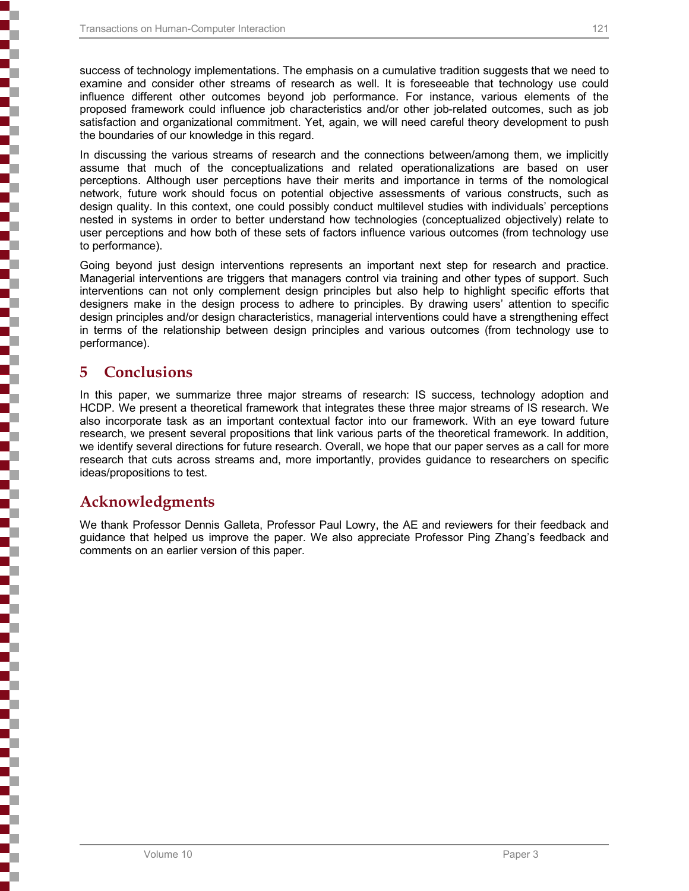success of technology implementations. The emphasis on a cumulative tradition suggests that we need to examine and consider other streams of research as well. It is foreseeable that technology use could influence different other outcomes beyond job performance. For instance, various elements of the proposed framework could influence job characteristics and/or other job-related outcomes, such as job satisfaction and organizational commitment. Yet, again, we will need careful theory development to push the boundaries of our knowledge in this regard.

In discussing the various streams of research and the connections between/among them, we implicitly assume that much of the conceptualizations and related operationalizations are based on user perceptions. Although user perceptions have their merits and importance in terms of the nomological network, future work should focus on potential objective assessments of various constructs, such as design quality. In this context, one could possibly conduct multilevel studies with individuals' perceptions nested in systems in order to better understand how technologies (conceptualized objectively) relate to user perceptions and how both of these sets of factors influence various outcomes (from technology use to performance).

Going beyond just design interventions represents an important next step for research and practice. Managerial interventions are triggers that managers control via training and other types of support. Such interventions can not only complement design principles but also help to highlight specific efforts that designers make in the design process to adhere to principles. By drawing users' attention to specific design principles and/or design characteristics, managerial interventions could have a strengthening effect in terms of the relationship between design principles and various outcomes (from technology use to performance).

## **5 Conclusions**

In this paper, we summarize three major streams of research: IS success, technology adoption and HCDP. We present a theoretical framework that integrates these three major streams of IS research. We also incorporate task as an important contextual factor into our framework. With an eye toward future research, we present several propositions that link various parts of the theoretical framework. In addition, we identify several directions for future research. Overall, we hope that our paper serves as a call for more research that cuts across streams and, more importantly, provides guidance to researchers on specific ideas/propositions to test.

# **Acknowledgments**

We thank Professor Dennis Galleta, Professor Paul Lowry, the AE and reviewers for their feedback and guidance that helped us improve the paper. We also appreciate Professor Ping Zhang's feedback and comments on an earlier version of this paper.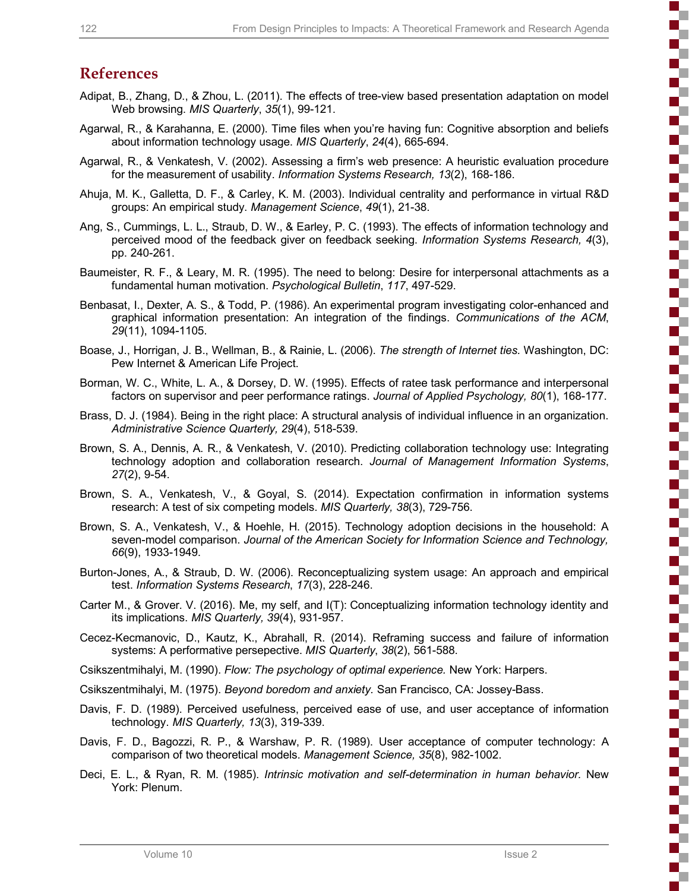# **References**

- Adipat, B., Zhang, D., & Zhou, L. (2011). The effects of tree-view based presentation adaptation on model Web browsing. *MIS Quarterly*, *35*(1), 99-121.
- Agarwal, R., & Karahanna, E. (2000). Time files when you're having fun: Cognitive absorption and beliefs about information technology usage. *MIS Quarterly*, *24*(4), 665-694.
- Agarwal, R., & Venkatesh, V. (2002). Assessing a firm's web presence: A heuristic evaluation procedure for the measurement of usability. *Information Systems Research, 13*(2), 168-186.
- Ahuja, M. K., Galletta, D. F., & Carley, K. M. (2003). Individual centrality and performance in virtual R&D groups: An empirical study. *Management Science*, *49*(1), 21-38.
- Ang, S., Cummings, L. L., Straub, D. W., & Earley, P. C. (1993). The effects of information technology and perceived mood of the feedback giver on feedback seeking. *Information Systems Research, 4*(3), pp. 240-261.
- Baumeister, R. F., & Leary, M. R. (1995). The need to belong: Desire for interpersonal attachments as a fundamental human motivation. *Psychological Bulletin*, *117*, 497-529.
- Benbasat, I., Dexter, A. S., & Todd, P. (1986). An experimental program investigating color-enhanced and graphical information presentation: An integration of the findings. *Communications of the ACM*, *29*(11), 1094-1105.
- Boase, J., Horrigan, J. B., Wellman, B., & Rainie, L. (2006). *The strength of Internet ties.* Washington, DC: Pew Internet & American Life Project.
- Borman, W. C., White, L. A., & Dorsey, D. W. (1995). Effects of ratee task performance and interpersonal factors on supervisor and peer performance ratings. *Journal of Applied Psychology, 80*(1), 168-177.
- Brass, D. J. (1984). Being in the right place: A structural analysis of individual influence in an organization. *Administrative Science Quarterly, 29*(4), 518-539.
- Brown, S. A., Dennis, A. R., & Venkatesh, V. (2010). Predicting collaboration technology use: Integrating technology adoption and collaboration research. *Journal of Management Information Systems*, *27*(2), 9-54.
- Brown, S. A., Venkatesh, V., & Goyal, S. (2014). Expectation confirmation in information systems research: A test of six competing models. *MIS Quarterly, 38*(3), 729-756.
- Brown, S. A., Venkatesh, V., & Hoehle, H. (2015). Technology adoption decisions in the household: A seven-model comparison. *Journal of the American Society for Information Science and Technology, 66*(9), 1933-1949.
- Burton-Jones, A., & Straub, D. W. (2006). Reconceptualizing system usage: An approach and empirical test. *Information Systems Research*, *17*(3), 228-246.
- Carter M., & Grover. V. (2016). Me, my self, and I(T): Conceptualizing information technology identity and its implications. *MIS Quarterly, 39*(4), 931-957.
- Cecez-Kecmanovic, D., Kautz, K., Abrahall, R. (2014). Reframing success and failure of information systems: A performative persepective. *MIS Quarterly*, *38*(2), 561-588.
- Csikszentmihalyi, M. (1990). *Flow: The psychology of optimal experience.* New York: Harpers.
- Csikszentmihalyi, M. (1975). *Beyond boredom and anxiety.* San Francisco, CA: Jossey-Bass.
- Davis, F. D. (1989). Perceived usefulness, perceived ease of use, and user acceptance of information technology. *MIS Quarterly, 13*(3), 319-339.
- Davis, F. D., Bagozzi, R. P., & Warshaw, P. R. (1989). User acceptance of computer technology: A comparison of two theoretical models. *Management Science, 35*(8), 982-1002.
- Deci, E. L., & Ryan, R. M. (1985). *Intrinsic motivation and self-determination in human behavior.* New York: Plenum.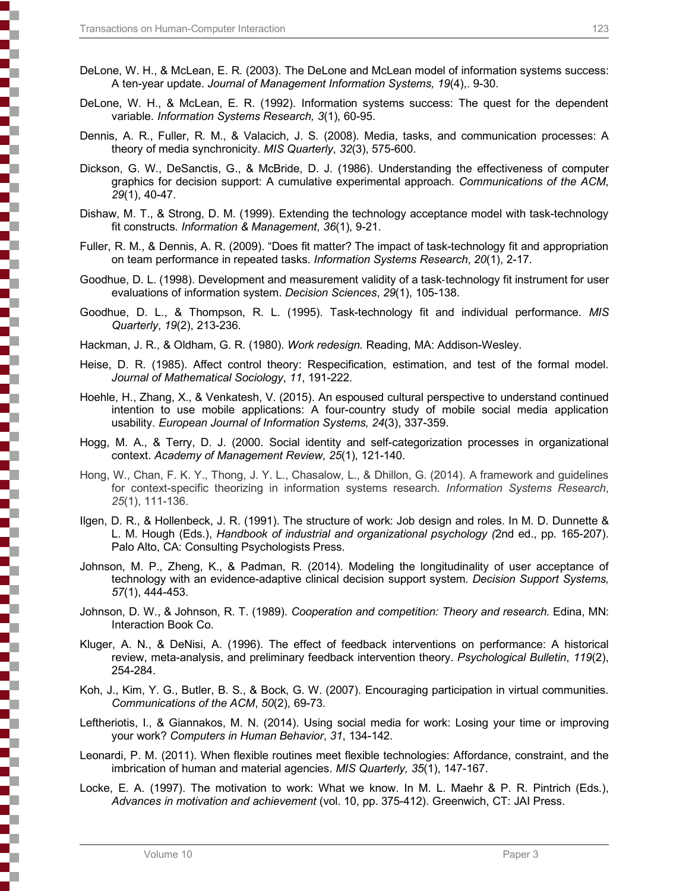- DeLone, W. H., & McLean, E. R. (2003). The DeLone and McLean model of information systems success: A ten-year update. *Journal of Management Information Systems, 19*(4),. 9-30.
- DeLone, W. H., & McLean, E. R. (1992). Information systems success: The quest for the dependent variable. *Information Systems Research, 3*(1), 60-95.
- Dennis, A. R., Fuller, R. M., & Valacich, J. S. (2008). Media, tasks, and communication processes: A theory of media synchronicity. *MIS Quarterly*, *32*(3), 575-600.
- Dickson, G. W., DeSanctis, G., & McBride, D. J. (1986). Understanding the effectiveness of computer graphics for decision support: A cumulative experimental approach. *Communications of the ACM*, *29*(1), 40-47.
- Dishaw, M. T., & Strong, D. M. (1999). Extending the technology acceptance model with task-technology fit constructs. *Information & Management*, *36*(1), 9-21.
- Fuller, R. M., & Dennis, A. R. (2009). "Does fit matter? The impact of task-technology fit and appropriation on team performance in repeated tasks. *Information Systems Research*, *20*(1), 2-17.
- Goodhue, D. L. (1998). Development and measurement validity of a task-technology fit instrument for user evaluations of information system. *Decision Sciences*, *29*(1), 105-138.
- Goodhue, D. L., & Thompson, R. L. (1995). Task-technology fit and individual performance. *MIS Quarterly*, *19*(2), 213-236.
- Hackman, J. R., & Oldham, G. R. (1980). *Work redesign.* Reading, MA: Addison-Wesley.
- Heise, D. R. (1985). Affect control theory: Respecification, estimation, and test of the formal model. *Journal of Mathematical Sociology*, *11*, 191-222.
- Hoehle, H., Zhang, X., & Venkatesh, V. (2015). An espoused cultural perspective to understand continued intention to use mobile applications: A four-country study of mobile social media application usability. *European Journal of Information Systems, 24*(3), 337-359.
- Hogg, M. A., & Terry, D. J. (2000. Social identity and self-categorization processes in organizational context. *Academy of Management Review*, *25*(1), 121-140.
- Hong, W., Chan, F. K. Y., Thong, J. Y. L., Chasalow, L., & Dhillon, G. (2014). A framework and guidelines for context-specific theorizing in information systems research. *Information Systems Research*, *25*(1), 111-136.
- Ilgen, D. R., & Hollenbeck, J. R. (1991). The structure of work: Job design and roles. In M. D. Dunnette & L. M. Hough (Eds.), *Handbook of industrial and organizational psychology (*2nd ed., pp. 165-207). Palo Alto, CA: Consulting Psychologists Press.
- Johnson, M. P., Zheng, K., & Padman, R. (2014). Modeling the longitudinality of user acceptance of technology with an evidence-adaptive clinical decision support system. *Decision Support Systems, 57*(1), 444-453.
- Johnson, D. W., & Johnson, R. T. (1989). *Cooperation and competition: Theory and research.* Edina, MN: Interaction Book Co.
- Kluger, A. N., & DeNisi, A. (1996). The effect of feedback interventions on performance: A historical review, meta-analysis, and preliminary feedback intervention theory. *Psychological Bulletin*, *119*(2), 254-284.
- Koh, J., Kim, Y. G., Butler, B. S., & Bock, G. W. (2007). Encouraging participation in virtual communities. *Communications of the ACM*, *50*(2), 69-73.
- Leftheriotis, I., & Giannakos, M. N. (2014). Using social media for work: Losing your time or improving your work? *Computers in Human Behavior*, *31*, 134-142.
- Leonardi, P. M. (2011). When flexible routines meet flexible technologies: Affordance, constraint, and the imbrication of human and material agencies. *MIS Quarterly, 35*(1), 147-167.
- Locke, E. A. (1997). The motivation to work: What we know. In M. L. Maehr & P. R. Pintrich (Eds.), *Advances in motivation and achievement* (vol. 10, pp. 375-412). Greenwich, CT: JAI Press.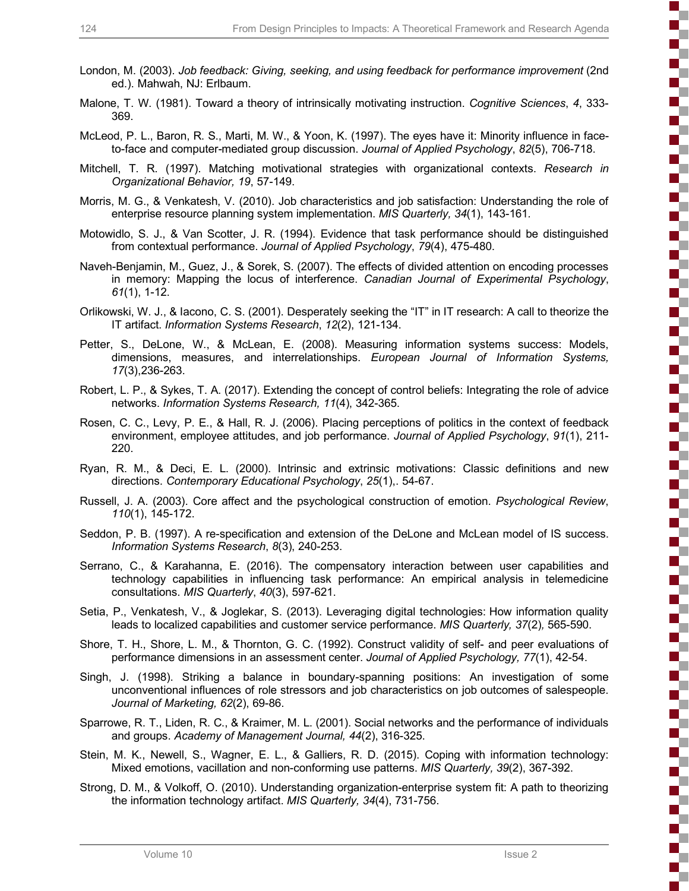- London, M. (2003). *Job feedback: Giving, seeking, and using feedback for performance improvement* (2nd ed.). Mahwah, NJ: Erlbaum.
- Malone, T. W. (1981). Toward a theory of intrinsically motivating instruction. *Cognitive Sciences*, *4*, 333- 369.
- McLeod, P. L., Baron, R. S., Marti, M. W., & Yoon, K. (1997). The eyes have it: Minority influence in faceto-face and computer-mediated group discussion. *Journal of Applied Psychology*, *82*(5), 706-718.
- Mitchell, T. R. (1997). Matching motivational strategies with organizational contexts. *Research in Organizational Behavior, 19*, 57-149.
- Morris, M. G., & Venkatesh, V. (2010). Job characteristics and job satisfaction: Understanding the role of enterprise resource planning system implementation. *MIS Quarterly, 34*(1), 143-161*.*
- Motowidlo, S. J., & Van Scotter, J. R. (1994). Evidence that task performance should be distinguished from contextual performance. *Journal of Applied Psychology*, *79*(4), 475-480.
- Naveh-Benjamin, M., Guez, J., & Sorek, S. (2007). The effects of divided attention on encoding processes in memory: Mapping the locus of interference. *Canadian Journal of Experimental Psychology*, *61*(1), 1-12.
- Orlikowski, W. J., & Iacono, C. S. (2001). Desperately seeking the "IT" in IT research: A call to theorize the IT artifact. *Information Systems Research*, *12*(2), 121-134.
- Petter, S., DeLone, W., & McLean, E. (2008). Measuring information systems success: Models, dimensions, measures, and interrelationships. *European Journal of Information Systems, 17*(3),236-263.
- Robert, L. P., & Sykes, T. A. (2017). Extending the concept of control beliefs: Integrating the role of advice networks. *Information Systems Research, 11*(4), 342-365.
- Rosen, C. C., Levy, P. E., & Hall, R. J. (2006). Placing perceptions of politics in the context of feedback environment, employee attitudes, and job performance. *Journal of Applied Psychology*, *91*(1), 211- 220.
- Ryan, R. M., & Deci, E. L. (2000). Intrinsic and extrinsic motivations: Classic definitions and new directions. *Contemporary Educational Psychology*, *25*(1),. 54-67.
- Russell, J. A. (2003). Core affect and the psychological construction of emotion. *Psychological Review*, *110*(1), 145-172.
- Seddon, P. B. (1997). A re-specification and extension of the DeLone and McLean model of IS success. *Information Systems Research*, *8*(3), 240-253.
- Serrano, C., & Karahanna, E. (2016). The compensatory interaction between user capabilities and technology capabilities in influencing task performance: An empirical analysis in telemedicine consultations. *MIS Quarterly*, *40*(3), 597-621.
- Setia, P., Venkatesh, V., & Joglekar, S. (2013). Leveraging digital technologies: How information quality leads to localized capabilities and customer service performance. *MIS Quarterly, 37*(2)*,* 565-590.
- Shore, T. H., Shore, L. M., & Thornton, G. C. (1992). Construct validity of self- and peer evaluations of performance dimensions in an assessment center. *Journal of Applied Psychology, 77*(1), 42-54.
- Singh, J. (1998). Striking a balance in boundary-spanning positions: An investigation of some unconventional influences of role stressors and job characteristics on job outcomes of salespeople. *Journal of Marketing, 62*(2), 69-86.
- Sparrowe, R. T., Liden, R. C., & Kraimer, M. L. (2001). Social networks and the performance of individuals and groups. *Academy of Management Journal, 44*(2), 316-325.
- Stein, M. K., Newell, S., Wagner, E. L., & Galliers, R. D. (2015). Coping with information technology: Mixed emotions, vacillation and non-conforming use patterns. *MIS Quarterly, 39*(2), 367-392.
- Strong, D. M., & Volkoff, O. (2010). Understanding organization-enterprise system fit: A path to theorizing the information technology artifact. *MIS Quarterly, 34*(4), 731-756.

 $\mathbb{R}^n$ 

5

5

 $\blacksquare$ 

 $\blacksquare$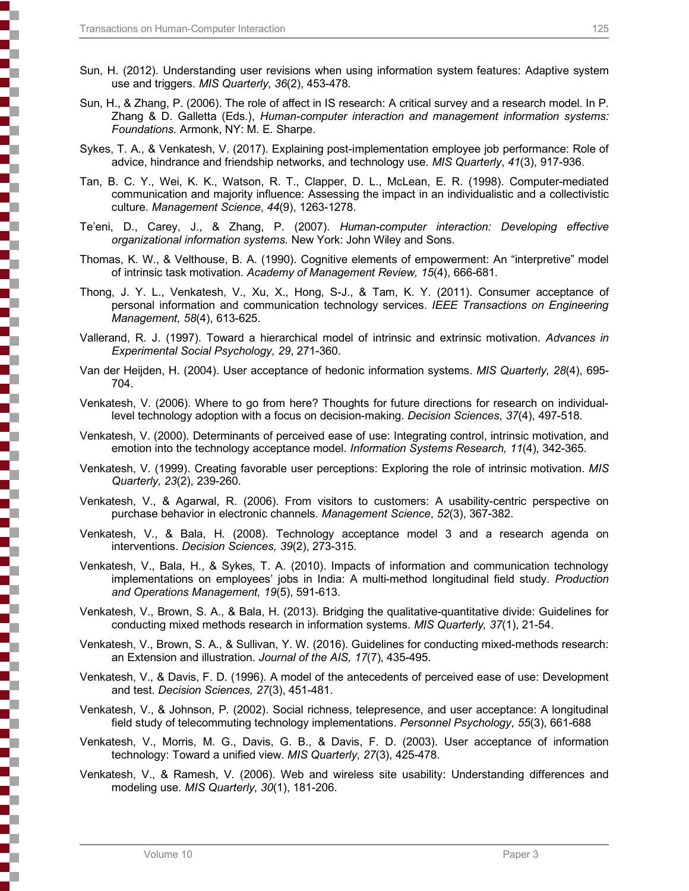- Sun, H. (2012). Understanding user revisions when using information system features: Adaptive system use and triggers. *MIS Quarterly*, *36*(2), 453-478.
- Sun, H., & Zhang, P. (2006). The role of affect in IS research: A critical survey and a research model. In P. Zhang & D. Galletta (Eds.), *Human-computer interaction and management information systems: Foundations.* Armonk, NY: M. E. Sharpe.
- Sykes, T. A., & Venkatesh, V. (2017). Explaining post-implementation employee job performance: Role of advice, hindrance and friendship networks, and technology use. *MIS Quarterly*, *41*(3), 917-936.
- Tan, B. C. Y., Wei, K. K., Watson, R. T., Clapper, D. L., McLean, E. R. (1998). Computer-mediated communication and majority influence: Assessing the impact in an individualistic and a collectivistic culture. *Management Science*, *44*(9), 1263-1278.
- Te'eni, D., Carey, J., & Zhang, P. (2007). *Human-computer interaction: Developing effective organizational information systems.* New York: John Wiley and Sons.
- Thomas, K. W., & Velthouse, B. A. (1990). Cognitive elements of empowerment: An "interpretive" model of intrinsic task motivation. *Academy of Management Review, 15*(4), 666-681.
- Thong, J. Y. L., Venkatesh, V., Xu, X., Hong, S-J., & Tam, K. Y. (2011). Consumer acceptance of personal information and communication technology services. *IEEE Transactions on Engineering Management, 58*(4), 613-625.
- Vallerand, R. J. (1997). Toward a hierarchical model of intrinsic and extrinsic motivation. *Advances in Experimental Social Psychology, 29*, 271-360.
- Van der Heijden, H. (2004). User acceptance of hedonic information systems. *MIS Quarterly, 28*(4), 695- 704.
- Venkatesh, V. (2006). Where to go from here? Thoughts for future directions for research on individuallevel technology adoption with a focus on decision-making. *Decision Sciences*, *37*(4), 497-518.
- Venkatesh, V. (2000). Determinants of perceived ease of use: Integrating control, intrinsic motivation, and emotion into the technology acceptance model. *Information Systems Research, 11*(4), 342-365.
- Venkatesh, V. (1999). Creating favorable user perceptions: Exploring the role of intrinsic motivation. *MIS Quarterly, 23*(2), 239-260.
- Venkatesh, V., & Agarwal, R. (2006). From visitors to customers: A usability-centric perspective on purchase behavior in electronic channels. *Management Science*, *52*(3), 367-382.
- Venkatesh, V., & Bala, H. (2008). Technology acceptance model 3 and a research agenda on interventions. *Decision Sciences, 39*(2), 273-315*.*
- Venkatesh, V., Bala, H., & Sykes, T. A. (2010). Impacts of information and communication technology implementations on employees' jobs in India: A multi-method longitudinal field study. *Production and Operations Management, 19*(5), 591-613.
- Venkatesh, V., Brown, S. A., & Bala, H. (2013). Bridging the qualitative-quantitative divide: Guidelines for conducting mixed methods research in information systems. *MIS Quarterly, 37*(1), 21-54.
- Venkatesh, V., Brown, S. A., & Sullivan, Y. W. (2016). Guidelines for conducting mixed-methods research: an Extension and illustration. *Journal of the AIS, 17*(7), 435-495.
- Venkatesh, V., & Davis, F. D. (1996). A model of the antecedents of perceived ease of use: Development and test. *Decision Sciences, 27*(3), 451-481.
- Venkatesh, V., & Johnson, P. (2002). Social richness, telepresence, and user acceptance: A longitudinal field study of telecommuting technology implementations. *Personnel Psychology*, *55*(3), 661-688
- Venkatesh, V., Morris, M. G., Davis, G. B., & Davis, F. D. (2003). User acceptance of information technology: Toward a unified view. *MIS Quarterly*, *27*(3), 425-478.
- Venkatesh, V., & Ramesh, V. (2006). Web and wireless site usability: Understanding differences and modeling use. *MIS Quarterly*, *30*(1), 181-206.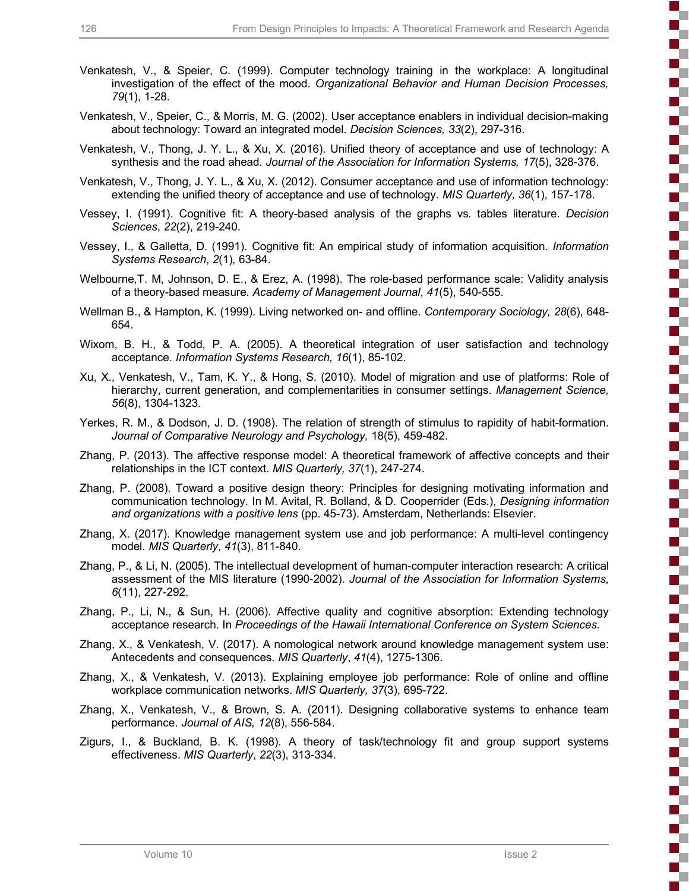- Venkatesh, V., & Speier, C. (1999). Computer technology training in the workplace: A longitudinal investigation of the effect of the mood. *Organizational Behavior and Human Decision Processes, 79*(1), 1-28.
- Venkatesh, V., Speier, C., & Morris, M. G. (2002). User acceptance enablers in individual decision-making about technology: Toward an integrated model. *Decision Sciences, 33*(2), 297-316.
- Venkatesh, V., Thong, J. Y. L., & Xu, X. (2016). Unified theory of acceptance and use of technology: A synthesis and the road ahead. *Journal of the Association for Information Systems, 17*(5), 328-376.
- Venkatesh, V., Thong, J. Y. L., & Xu, X. (2012). Consumer acceptance and use of information technology: extending the unified theory of acceptance and use of technology. *MIS Quarterly, 36*(1), 157-178.
- Vessey, I. (1991). Cognitive fit: A theory-based analysis of the graphs vs. tables literature. *Decision Sciences*, *22*(2), 219-240.
- Vessey, I., & Galletta, D. (1991). Cognitive fit: An empirical study of information acquisition. *Information Systems Research*, *2*(1), 63-84.
- Welbourne,T. M, Johnson, D. E., & Erez, A. (1998). The role-based performance scale: Validity analysis of a theory-based measure. *Academy of Management Journal*, *41*(5), 540-555.
- Wellman B., & Hampton, K. (1999). Living networked on- and offline. *Contemporary Sociology, 28*(6), 648- 654.
- Wixom, B. H., & Todd, P. A. (2005). A theoretical integration of user satisfaction and technology acceptance. *Information Systems Research*, *16*(1), 85-102.
- Xu, X., Venkatesh, V., Tam, K. Y., & Hong, S. (2010). Model of migration and use of platforms: Role of hierarchy, current generation, and complementarities in consumer settings. *Management Science, 56*(8), 1304-1323.
- Yerkes, R. M., & Dodson, J. D. (1908). The relation of strength of stimulus to rapidity of habit-formation. *Journal of Comparative Neurology and Psychology,* 18(5), 459-482.
- Zhang, P. (2013). The affective response model: A theoretical framework of affective concepts and their relationships in the ICT context. *MIS Quarterly, 37*(1), 247-274.
- Zhang, P. (2008). Toward a positive design theory: Principles for designing motivating information and communication technology. In M. Avital, R. Bolland, & D. Cooperrider (Eds.), *Designing information and organizations with a positive lens* (pp. 45-73). Amsterdam, Netherlands: Elsevier.
- Zhang, X. (2017). Knowledge management system use and job performance: A multi-level contingency model. *MIS Quarterly*, *41*(3), 811-840.
- Zhang, P., & Li, N. (2005). The intellectual development of human-computer interaction research: A critical assessment of the MIS literature (1990-2002). *Journal of the Association for Information Systems*, *6*(11), 227-292.
- Zhang, P., Li, N., & Sun, H. (2006). Affective quality and cognitive absorption: Extending technology acceptance research. In *Proceedings of the Hawaii International Conference on System Sciences*.
- Zhang, X., & Venkatesh, V. (2017). A nomological network around knowledge management system use: Antecedents and consequences. *MIS Quarterly*, *41*(4), 1275-1306.
- Zhang, X., & Venkatesh, V. (2013). Explaining employee job performance: Role of online and offline workplace communication networks. *MIS Quarterly, 37*(3), 695-722.
- Zhang, X., Venkatesh, V., & Brown, S. A. (2011). Designing collaborative systems to enhance team performance. *Journal of AIS, 12*(8), 556-584.
- Zigurs, I., & Buckland, B. K. (1998). A theory of task/technology fit and group support systems effectiveness. *MIS Quarterly*, *22*(3), 313-334.

 $\Box$ 

5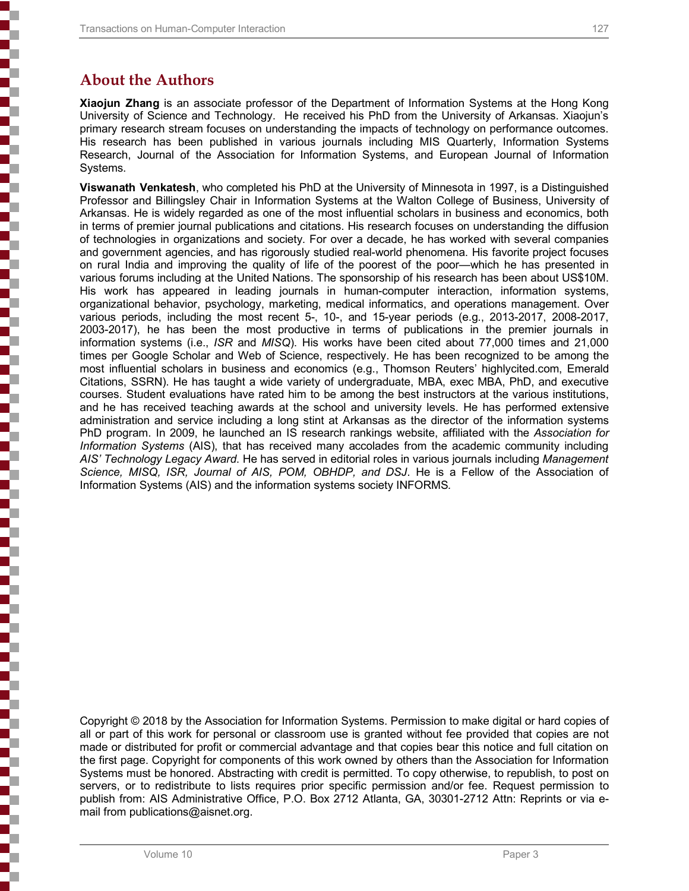# **About the Authors**

**Xiaojun Zhang** is an associate professor of the Department of Information Systems at the Hong Kong University of Science and Technology. He received his PhD from the University of Arkansas. Xiaojun's primary research stream focuses on understanding the impacts of technology on performance outcomes. His research has been published in various journals including MIS Quarterly, Information Systems Research, Journal of the Association for Information Systems, and European Journal of Information Systems.

**Viswanath Venkatesh**, who completed his PhD at the University of Minnesota in 1997, is a Distinguished Professor and Billingsley Chair in Information Systems at the Walton College of Business, University of Arkansas. He is widely regarded as one of the most influential scholars in business and economics, both in terms of premier journal publications and citations. His research focuses on understanding the diffusion of technologies in organizations and society. For over a decade, he has worked with several companies and government agencies, and has rigorously studied real-world phenomena. His favorite project focuses on rural India and improving the quality of life of the poorest of the poor—which he has presented in various forums including at the United Nations. The sponsorship of his research has been about US\$10M. His work has appeared in leading journals in human-computer interaction, information systems, organizational behavior, psychology, marketing, medical informatics, and operations management. Over various periods, including the most recent 5-, 10-, and 15-year periods (e.g., 2013-2017, 2008-2017, 2003-2017), he has been the most productive in terms of publications in the premier journals in information systems (i.e., *ISR* and *MISQ*). His works have been cited about 77,000 times and 21,000 times per Google Scholar and Web of Science, respectively. He has been recognized to be among the most influential scholars in business and economics (e.g., Thomson Reuters' highlycited.com, Emerald Citations, SSRN). He has taught a wide variety of undergraduate, MBA, exec MBA, PhD, and executive courses. Student evaluations have rated him to be among the best instructors at the various institutions, and he has received teaching awards at the school and university levels. He has performed extensive administration and service including a long stint at Arkansas as the director of the information systems PhD program. In 2009, he launched an IS research rankings website, affiliated with the *Association for Information Systems* (AIS), that has received many accolades from the academic community including *AIS' Technology Legacy Award*. He has served in editorial roles in various journals including *Management Science, MISQ, ISR, Journal of AIS, POM, OBHDP, and DSJ*. He is a Fellow of the Association of Information Systems (AIS) and the information systems society INFORMS*.*

Copyright © 2018 by the Association for Information Systems. Permission to make digital or hard copies of all or part of this work for personal or classroom use is granted without fee provided that copies are not made or distributed for profit or commercial advantage and that copies bear this notice and full citation on the first page. Copyright for components of this work owned by others than the Association for Information Systems must be honored. Abstracting with credit is permitted. To copy otherwise, to republish, to post on servers, or to redistribute to lists requires prior specific permission and/or fee. Request permission to publish from: AIS Administrative Office, P.O. Box 2712 Atlanta, GA, 30301-2712 Attn: Reprints or via email from publications@aisnet.org.